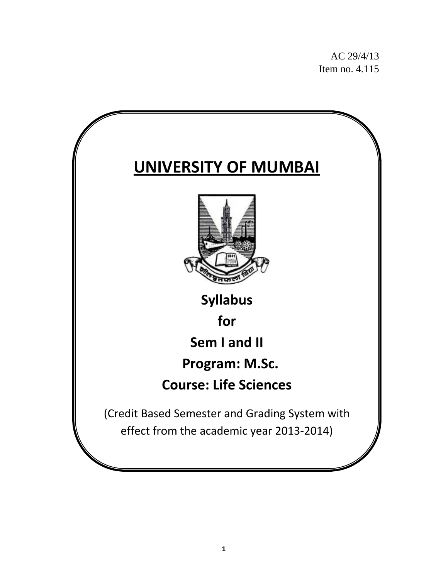AC 29/4/13 Item no. 4.115

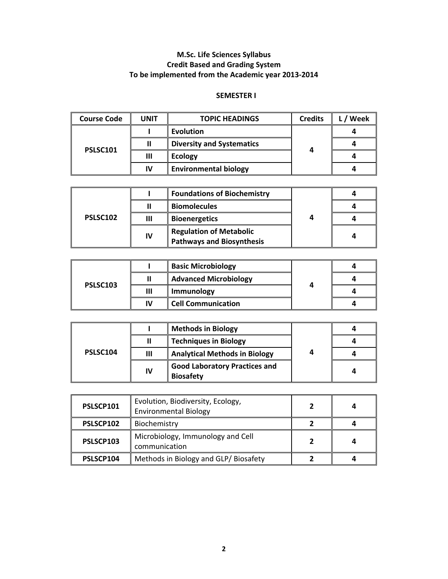# **M.Sc. Life Sciences Syllabus Credit Based and Grading System To be implemented from the Academic year 2013‐2014**

#### **SEMESTER I**

| <b>Course Code</b> | <b>UNIT</b> | <b>TOPIC HEADINGS</b>            | <b>Credits</b> | Week |
|--------------------|-------------|----------------------------------|----------------|------|
| <b>PSLSC101</b>    |             | <b>Evolution</b>                 | 4              |      |
|                    |             | <b>Diversity and Systematics</b> |                |      |
|                    | Ш           | <b>Ecology</b>                   |                |      |
|                    | IV          | <b>Environmental biology</b>     |                |      |

|          |    | <b>Foundations of Biochemistry</b>                                 | 4 |  |
|----------|----|--------------------------------------------------------------------|---|--|
| PSLSC102 |    | <b>Biomolecules</b>                                                |   |  |
|          | Ш  | <b>Bioenergetics</b>                                               |   |  |
|          | IV | <b>Regulation of Metabolic</b><br><b>Pathways and Biosynthesis</b> |   |  |

|          |    | <b>Basic Microbiology</b>    |              |  |
|----------|----|------------------------------|--------------|--|
|          | Ш  | <b>Advanced Microbiology</b> | $\mathbf{r}$ |  |
| PSLSC103 | Ш  | Immunology                   |              |  |
|          | IV | <b>Cell Communication</b>    |              |  |

|          |    | <b>Methods in Biology</b>                                |  |  |
|----------|----|----------------------------------------------------------|--|--|
|          | Ш  | <b>Techniques in Biology</b>                             |  |  |
| PSLSC104 | Ш  | <b>Analytical Methods in Biology</b>                     |  |  |
|          | IV | <b>Good Laboratory Practices and</b><br><b>Biosafety</b> |  |  |

| PSLSCP101 | Evolution, Biodiversity, Ecology,<br><b>Environmental Biology</b> |  |
|-----------|-------------------------------------------------------------------|--|
| PSLSCP102 | Biochemistry                                                      |  |
| PSLSCP103 | Microbiology, Immunology and Cell<br>communication                |  |
| PSLSCP104 | Methods in Biology and GLP/Biosafety                              |  |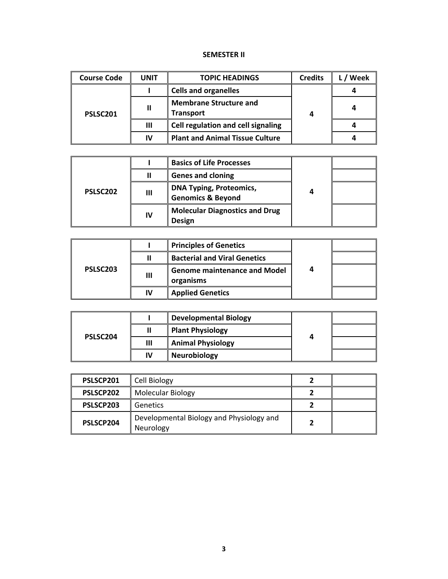#### **SEMESTER II**

| <b>Course Code</b> | <b>UNIT</b> | <b>TOPIC HEADINGS</b>                             | <b>Credits</b> | Week |
|--------------------|-------------|---------------------------------------------------|----------------|------|
| PSLSC201           |             | <b>Cells and organelles</b>                       | 4              |      |
|                    |             | <b>Membrane Structure and</b><br><b>Transport</b> |                |      |
|                    | Ш           | Cell regulation and cell signaling                |                |      |
|                    | IV          | <b>Plant and Animal Tissue Culture</b>            |                |      |

|                      |    | <b>Basics of Life Processes</b>                                |  |  |
|----------------------|----|----------------------------------------------------------------|--|--|
|                      | Ш  | <b>Genes and cloning</b>                                       |  |  |
| PSLSC <sub>202</sub> | Ш  | <b>DNA Typing, Proteomics,</b><br><b>Genomics &amp; Beyond</b> |  |  |
|                      | IV | <b>Molecular Diagnostics and Drug</b><br><b>Design</b>         |  |  |

|          |   | <b>Principles of Genetics</b>                    |  |  |
|----------|---|--------------------------------------------------|--|--|
| PSLSC203 |   | <b>Bacterial and Viral Genetics</b>              |  |  |
|          | Ш | <b>Genome maintenance and Model</b><br>organisms |  |  |
|          |   | <b>Applied Genetics</b>                          |  |  |

|          |    | <b>Developmental Biology</b> |   |  |
|----------|----|------------------------------|---|--|
| PSLSC204 |    | <b>Plant Physiology</b>      | 4 |  |
|          | Ш  | <b>Animal Physiology</b>     |   |  |
|          | IV | <b>Neurobiology</b>          |   |  |

| PSLSCP201 | Cell Biology                                          |  |
|-----------|-------------------------------------------------------|--|
| PSLSCP202 | <b>Molecular Biology</b>                              |  |
| PSLSCP203 | <b>Genetics</b>                                       |  |
| PSLSCP204 | Developmental Biology and Physiology and<br>Neurology |  |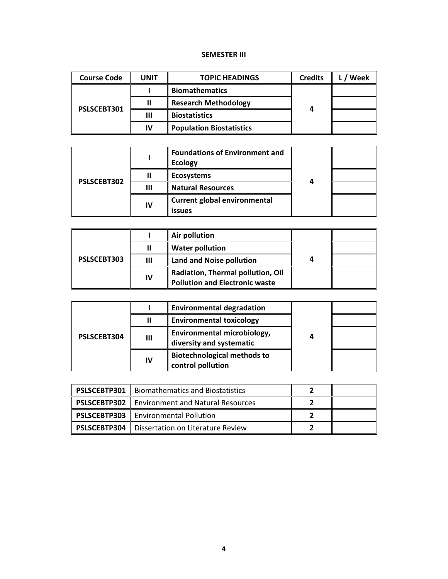#### **SEMESTER III**

| <b>Course Code</b> | UNIT | <b>TOPIC HEADINGS</b>           | <b>Credits</b> | Week |
|--------------------|------|---------------------------------|----------------|------|
| PSLSCEBT301        |      | <b>Biomathematics</b>           |                |      |
|                    |      | <b>Research Methodology</b>     |                |      |
|                    | Ш    | <b>Biostatistics</b>            |                |      |
|                    | IV   | <b>Population Biostatistics</b> |                |      |

| PSLSCEBT302 |    | <b>Foundations of Environment and</b><br><b>Ecology</b> |   |  |
|-------------|----|---------------------------------------------------------|---|--|
|             |    | <b>Ecosystems</b>                                       | Δ |  |
|             | Ш  | <b>Natural Resources</b>                                |   |  |
|             | IV | <b>Current global environmental</b><br><b>issues</b>    |   |  |

| PSLSCEBT303 |    | Air pollution                                                              |   |  |
|-------------|----|----------------------------------------------------------------------------|---|--|
|             |    | <b>Water pollution</b>                                                     | 4 |  |
|             | Ш  | <b>Land and Noise pollution</b>                                            |   |  |
|             | IV | Radiation, Thermal pollution, Oil<br><b>Pollution and Electronic waste</b> |   |  |

| <b>PSLSCEBT304</b> |    | <b>Environmental degradation</b>                        |   |  |
|--------------------|----|---------------------------------------------------------|---|--|
|                    | Ш  | <b>Environmental toxicology</b>                         | 4 |  |
|                    | Ш  | Environmental microbiology,<br>diversity and systematic |   |  |
|                    | IV | <b>Biotechnological methods to</b><br>control pollution |   |  |

| <b>PSLSCEBTP301</b>   Biomathematics and Biostatistics  |  |
|---------------------------------------------------------|--|
| <b>PSLSCEBTP302</b>   Environment and Natural Resources |  |
| <b>PSLSCEBTP303</b>   Environmental Pollution           |  |
| <b>PSLSCEBTP304</b>   Dissertation on Literature Review |  |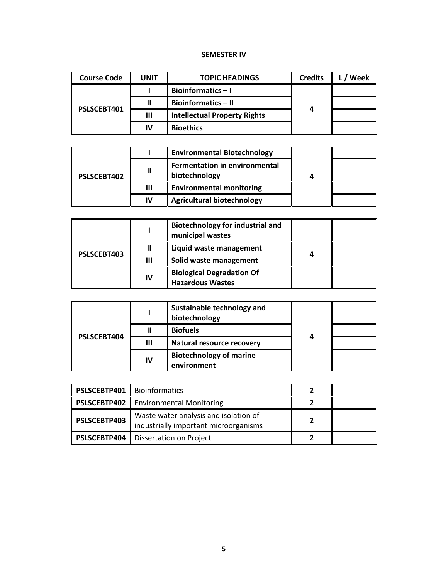#### **SEMESTER IV**

| <b>Course Code</b> | <b>UNIT</b> | <b>TOPIC HEADINGS</b>               | <b>Credits</b> | Week |
|--------------------|-------------|-------------------------------------|----------------|------|
| PSLSCEBT401        |             | <b>Bioinformatics-I</b>             |                |      |
|                    |             | <b>Bioinformatics - II</b>          |                |      |
|                    | Ш           | <b>Intellectual Property Rights</b> | 4              |      |
|                    | IV          | <b>Bioethics</b>                    |                |      |

| <b>PSLSCEBT402</b> |    | <b>Environmental Biotechnology</b>                    |  |  |
|--------------------|----|-------------------------------------------------------|--|--|
|                    | Ш  | <b>Fermentation in environmental</b><br>biotechnology |  |  |
|                    | Ш  | <b>Environmental monitoring</b>                       |  |  |
|                    | IV | <b>Agricultural biotechnology</b>                     |  |  |

| PSLSCEBT403 |    | <b>Biotechnology for industrial and</b><br>municipal wastes |   |  |
|-------------|----|-------------------------------------------------------------|---|--|
|             |    | Liquid waste management                                     | 4 |  |
|             | Ш  | Solid waste management                                      |   |  |
|             | IV | <b>Biological Degradation Of</b><br><b>Hazardous Wastes</b> |   |  |

| PSLSCEBT404 |    | Sustainable technology and<br>biotechnology   |   |  |
|-------------|----|-----------------------------------------------|---|--|
|             |    | <b>Biofuels</b>                               | 4 |  |
|             | Ш  | Natural resource recovery                     |   |  |
|             | IV | <b>Biotechnology of marine</b><br>environment |   |  |

| <b>PSLSCEBTP401</b>   Bioinformatics |                                                                                |  |
|--------------------------------------|--------------------------------------------------------------------------------|--|
|                                      | <b>PSLSCEBTP402</b>   Environmental Monitoring                                 |  |
| PSLSCEBTP403                         | Waste water analysis and isolation of<br>industrially important microorganisms |  |
| <b>PSLSCEBTP404</b>                  | Dissertation on Project                                                        |  |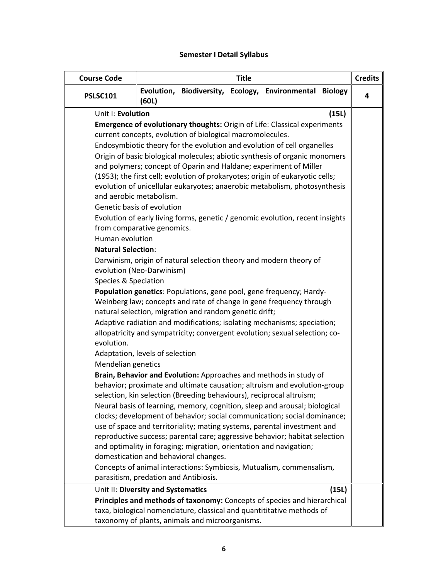# **Semester I Detail Syllabus**

| <b>Course Code</b>                                                   |                                                                                                                  |                                                           | <b>Title</b> |                                                                                                                                                                                                                                                                                                                                                                                                                                                                                                                                                                                                                                                                                          |       | <b>Credits</b> |
|----------------------------------------------------------------------|------------------------------------------------------------------------------------------------------------------|-----------------------------------------------------------|--------------|------------------------------------------------------------------------------------------------------------------------------------------------------------------------------------------------------------------------------------------------------------------------------------------------------------------------------------------------------------------------------------------------------------------------------------------------------------------------------------------------------------------------------------------------------------------------------------------------------------------------------------------------------------------------------------------|-------|----------------|
| <b>PSLSC101</b>                                                      | (60L)                                                                                                            |                                                           |              | Evolution, Biodiversity, Ecology, Environmental Biology                                                                                                                                                                                                                                                                                                                                                                                                                                                                                                                                                                                                                                  |       | 4              |
| Unit I: Evolution                                                    |                                                                                                                  |                                                           |              |                                                                                                                                                                                                                                                                                                                                                                                                                                                                                                                                                                                                                                                                                          | (15L) |                |
|                                                                      |                                                                                                                  |                                                           |              | Emergence of evolutionary thoughts: Origin of Life: Classical experiments                                                                                                                                                                                                                                                                                                                                                                                                                                                                                                                                                                                                                |       |                |
|                                                                      |                                                                                                                  | current concepts, evolution of biological macromolecules. |              |                                                                                                                                                                                                                                                                                                                                                                                                                                                                                                                                                                                                                                                                                          |       |                |
|                                                                      |                                                                                                                  |                                                           |              | Endosymbiotic theory for the evolution and evolution of cell organelles                                                                                                                                                                                                                                                                                                                                                                                                                                                                                                                                                                                                                  |       |                |
| Human evolution<br><b>Natural Selection:</b><br>Species & Speciation | and aerobic metabolism.<br>Genetic basis of evolution<br>from comparative genomics.<br>evolution (Neo-Darwinism) |                                                           |              | Origin of basic biological molecules; abiotic synthesis of organic monomers<br>and polymers; concept of Oparin and Haldane; experiment of Miller<br>(1953); the first cell; evolution of prokaryotes; origin of eukaryotic cells;<br>evolution of unicellular eukaryotes; anaerobic metabolism, photosynthesis<br>Evolution of early living forms, genetic / genomic evolution, recent insights<br>Darwinism, origin of natural selection theory and modern theory of                                                                                                                                                                                                                    |       |                |
|                                                                      |                                                                                                                  |                                                           |              | Population genetics: Populations, gene pool, gene frequency; Hardy-                                                                                                                                                                                                                                                                                                                                                                                                                                                                                                                                                                                                                      |       |                |
| evolution.                                                           |                                                                                                                  | natural selection, migration and random genetic drift;    |              | Weinberg law; concepts and rate of change in gene frequency through<br>Adaptive radiation and modifications; isolating mechanisms; speciation;<br>allopatricity and sympatricity; convergent evolution; sexual selection; co-                                                                                                                                                                                                                                                                                                                                                                                                                                                            |       |                |
|                                                                      | Adaptation, levels of selection                                                                                  |                                                           |              |                                                                                                                                                                                                                                                                                                                                                                                                                                                                                                                                                                                                                                                                                          |       |                |
| Mendelian genetics                                                   | parasitism, predation and Antibiosis.                                                                            | domestication and behavioral changes.                     |              | Brain, Behavior and Evolution: Approaches and methods in study of<br>behavior; proximate and ultimate causation; altruism and evolution-group<br>selection, kin selection (Breeding behaviours), reciprocal altruism;<br>Neural basis of learning, memory, cognition, sleep and arousal; biological<br>clocks; development of behavior; social communication; social dominance;<br>use of space and territoriality; mating systems, parental investment and<br>reproductive success; parental care; aggressive behavior; habitat selection<br>and optimality in foraging; migration, orientation and navigation;<br>Concepts of animal interactions: Symbiosis, Mutualism, commensalism, |       |                |
|                                                                      | Unit II: Diversity and Systematics                                                                               |                                                           |              |                                                                                                                                                                                                                                                                                                                                                                                                                                                                                                                                                                                                                                                                                          | (15L) |                |
|                                                                      |                                                                                                                  | taxonomy of plants, animals and microorganisms.           |              | Principles and methods of taxonomy: Concepts of species and hierarchical<br>taxa, biological nomenclature, classical and quantititative methods of                                                                                                                                                                                                                                                                                                                                                                                                                                                                                                                                       |       |                |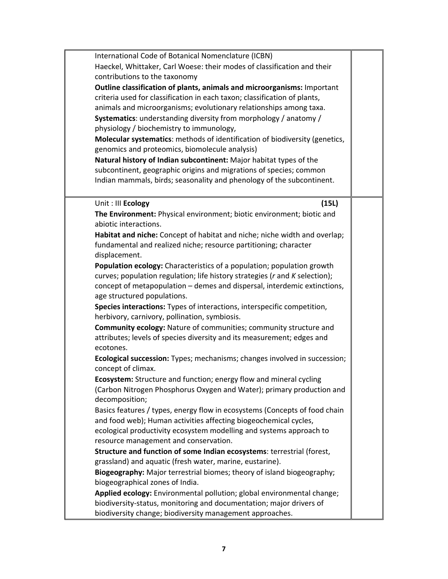| International Code of Botanical Nomenclature (ICBN)                                                                      |  |
|--------------------------------------------------------------------------------------------------------------------------|--|
| Haeckel, Whittaker, Carl Woese: their modes of classification and their                                                  |  |
| contributions to the taxonomy                                                                                            |  |
| Outline classification of plants, animals and microorganisms: Important                                                  |  |
| criteria used for classification in each taxon; classification of plants,                                                |  |
| animals and microorganisms; evolutionary relationships among taxa.                                                       |  |
| Systematics: understanding diversity from morphology / anatomy /                                                         |  |
| physiology / biochemistry to immunology,                                                                                 |  |
| Molecular systematics: methods of identification of biodiversity (genetics,                                              |  |
| genomics and proteomics, biomolecule analysis)                                                                           |  |
| Natural history of Indian subcontinent: Major habitat types of the                                                       |  |
| subcontinent, geographic origins and migrations of species; common                                                       |  |
| Indian mammals, birds; seasonality and phenology of the subcontinent.                                                    |  |
|                                                                                                                          |  |
| Unit : III Ecology<br>(15L)                                                                                              |  |
| The Environment: Physical environment; biotic environment; biotic and                                                    |  |
| abiotic interactions.                                                                                                    |  |
| Habitat and niche: Concept of habitat and niche; niche width and overlap;                                                |  |
| fundamental and realized niche; resource partitioning; character                                                         |  |
| displacement.                                                                                                            |  |
| Population ecology: Characteristics of a population; population growth                                                   |  |
| curves; population regulation; life history strategies (r and K selection);                                              |  |
| concept of metapopulation - demes and dispersal, interdemic extinctions,                                                 |  |
| age structured populations.                                                                                              |  |
| Species interactions: Types of interactions, interspecific competition,<br>herbivory, carnivory, pollination, symbiosis. |  |
| <b>Community ecology: Nature of communities; community structure and</b>                                                 |  |
| attributes; levels of species diversity and its measurement; edges and                                                   |  |
| ecotones.                                                                                                                |  |
| Ecological succession: Types; mechanisms; changes involved in succession;<br>concept of climax.                          |  |
| Ecosystem: Structure and function; energy flow and mineral cycling                                                       |  |
| (Carbon Nitrogen Phosphorus Oxygen and Water); primary production and                                                    |  |
| decomposition;                                                                                                           |  |
| Basics features / types, energy flow in ecosystems (Concepts of food chain                                               |  |
| and food web); Human activities affecting biogeochemical cycles,                                                         |  |
| ecological productivity ecosystem modelling and systems approach to                                                      |  |
| resource management and conservation.                                                                                    |  |
| Structure and function of some Indian ecosystems: terrestrial (forest,                                                   |  |
| grassland) and aquatic (fresh water, marine, eustarine).                                                                 |  |
| Biogeography: Major terrestrial biomes; theory of island biogeography;                                                   |  |
| biogeographical zones of India.                                                                                          |  |
| Applied ecology: Environmental pollution; global environmental change;                                                   |  |
| biodiversity-status, monitoring and documentation; major drivers of                                                      |  |
| biodiversity change; biodiversity management approaches.                                                                 |  |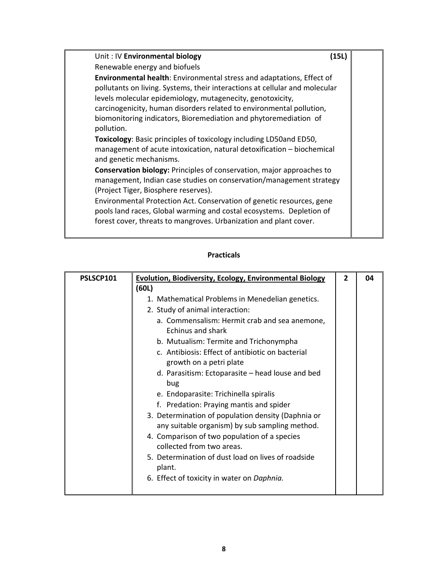| Unit: IV Environmental biology<br>(15L)                                                                                                                                                                                                                                                                                                                                                                                                                                                                                                                        |  |
|----------------------------------------------------------------------------------------------------------------------------------------------------------------------------------------------------------------------------------------------------------------------------------------------------------------------------------------------------------------------------------------------------------------------------------------------------------------------------------------------------------------------------------------------------------------|--|
| Renewable energy and biofuels                                                                                                                                                                                                                                                                                                                                                                                                                                                                                                                                  |  |
| <b>Environmental health:</b> Environmental stress and adaptations, Effect of<br>pollutants on living. Systems, their interactions at cellular and molecular<br>levels molecular epidemiology, mutagenecity, genotoxicity,<br>carcinogenicity, human disorders related to environmental pollution,<br>biomonitoring indicators, Bioremediation and phytoremediation of<br>pollution.<br>Toxicology: Basic principles of toxicology including LD50and ED50,<br>management of acute intoxication, natural detoxification – biochemical<br>and genetic mechanisms. |  |
| <b>Conservation biology:</b> Principles of conservation, major approaches to<br>management, Indian case studies on conservation/management strategy<br>(Project Tiger, Biosphere reserves).<br>Environmental Protection Act. Conservation of genetic resources, gene<br>pools land races, Global warming and costal ecosystems. Depletion of<br>forest cover, threats to mangroves. Urbanization and plant cover.                                                                                                                                              |  |

| PSLSCP101 | <b>Evolution, Biodiversity, Ecology, Environmental Biology</b>                                       | $\mathbf{2}$ | 04 |
|-----------|------------------------------------------------------------------------------------------------------|--------------|----|
|           | (60L)                                                                                                |              |    |
|           | 1. Mathematical Problems in Menedelian genetics.                                                     |              |    |
|           | 2. Study of animal interaction:                                                                      |              |    |
|           | a. Commensalism: Hermit crab and sea anemone,                                                        |              |    |
|           | <b>Echinus and shark</b>                                                                             |              |    |
|           | b. Mutualism: Termite and Trichonympha                                                               |              |    |
|           | c. Antibiosis: Effect of antibiotic on bacterial                                                     |              |    |
|           | growth on a petri plate                                                                              |              |    |
|           | d. Parasitism: Ectoparasite – head louse and bed<br>bug                                              |              |    |
|           | e. Endoparasite: Trichinella spiralis                                                                |              |    |
|           | f. Predation: Praying mantis and spider                                                              |              |    |
|           | 3. Determination of population density (Daphnia or<br>any suitable organism) by sub sampling method. |              |    |
|           | 4. Comparison of two population of a species<br>collected from two areas.                            |              |    |
|           | 5. Determination of dust load on lives of roadside<br>plant.                                         |              |    |
|           | 6. Effect of toxicity in water on Daphnia.                                                           |              |    |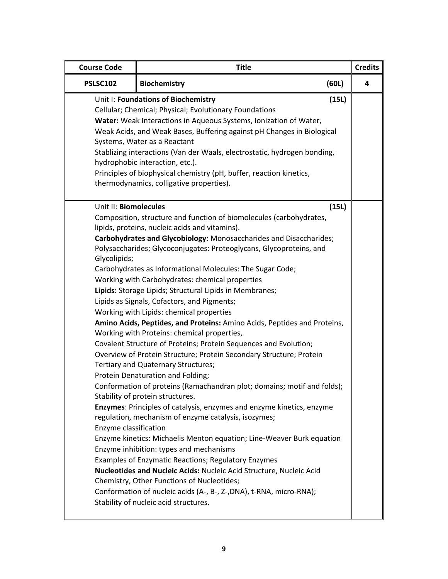| <b>Course Code</b>                                             | <b>Title</b>                                                                                                                                                                                                                                                                                                                                                                                                                                                                                                                                                                                                                                                                                                                                                                                                                                                                                                                                                                                                                                                                                                                                                                                                                                                                                                                                                                                                                                                                                                      |       | <b>Credits</b> |
|----------------------------------------------------------------|-------------------------------------------------------------------------------------------------------------------------------------------------------------------------------------------------------------------------------------------------------------------------------------------------------------------------------------------------------------------------------------------------------------------------------------------------------------------------------------------------------------------------------------------------------------------------------------------------------------------------------------------------------------------------------------------------------------------------------------------------------------------------------------------------------------------------------------------------------------------------------------------------------------------------------------------------------------------------------------------------------------------------------------------------------------------------------------------------------------------------------------------------------------------------------------------------------------------------------------------------------------------------------------------------------------------------------------------------------------------------------------------------------------------------------------------------------------------------------------------------------------------|-------|----------------|
| <b>PSLSC102</b>                                                | (60L)<br><b>Biochemistry</b>                                                                                                                                                                                                                                                                                                                                                                                                                                                                                                                                                                                                                                                                                                                                                                                                                                                                                                                                                                                                                                                                                                                                                                                                                                                                                                                                                                                                                                                                                      |       |                |
|                                                                | Unit I: Foundations of Biochemistry<br>Cellular; Chemical; Physical; Evolutionary Foundations<br>Water: Weak Interactions in Aqueous Systems, Ionization of Water,<br>Weak Acids, and Weak Bases, Buffering against pH Changes in Biological<br>Systems, Water as a Reactant<br>Stablizing interactions (Van der Waals, electrostatic, hydrogen bonding,<br>hydrophobic interaction, etc.).<br>Principles of biophysical chemistry (pH, buffer, reaction kinetics,<br>thermodynamics, colligative properties).                                                                                                                                                                                                                                                                                                                                                                                                                                                                                                                                                                                                                                                                                                                                                                                                                                                                                                                                                                                                    | (15L) |                |
| Unit II: Biomolecules<br>Glycolipids;<br>Enzyme classification | Composition, structure and function of biomolecules (carbohydrates,<br>lipids, proteins, nucleic acids and vitamins).<br>Carbohydrates and Glycobiology: Monosaccharides and Disaccharides;<br>Polysaccharides; Glycoconjugates: Proteoglycans, Glycoproteins, and<br>Carbohydrates as Informational Molecules: The Sugar Code;<br>Working with Carbohydrates: chemical properties<br>Lipids: Storage Lipids; Structural Lipids in Membranes;<br>Lipids as Signals, Cofactors, and Pigments;<br>Working with Lipids: chemical properties<br>Amino Acids, Peptides, and Proteins: Amino Acids, Peptides and Proteins,<br>Working with Proteins: chemical properties,<br>Covalent Structure of Proteins; Protein Sequences and Evolution;<br>Overview of Protein Structure; Protein Secondary Structure; Protein<br>Tertiary and Quaternary Structures;<br>Protein Denaturation and Folding;<br>Conformation of proteins (Ramachandran plot; domains; motif and folds);<br>Stability of protein structures.<br>Enzymes: Principles of catalysis, enzymes and enzyme kinetics, enzyme<br>regulation, mechanism of enzyme catalysis, isozymes;<br>Enzyme kinetics: Michaelis Menton equation; Line-Weaver Burk equation<br>Enzyme inhibition: types and mechanisms<br>Examples of Enzymatic Reactions; Regulatory Enzymes<br>Nucleotides and Nucleic Acids: Nucleic Acid Structure, Nucleic Acid<br>Chemistry, Other Functions of Nucleotides;<br>Conformation of nucleic acids (A-, B-, Z-, DNA), t-RNA, micro-RNA); | (15L) |                |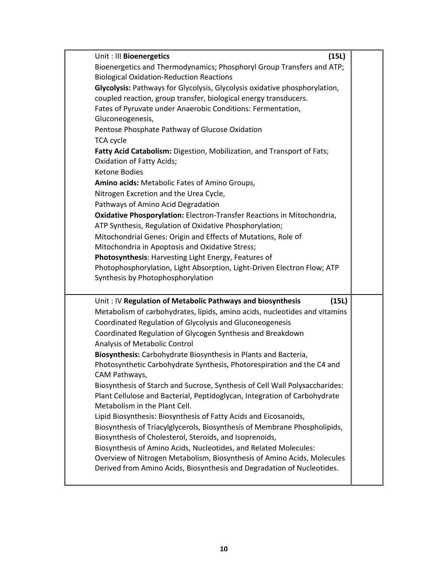| Unit : III Bioenergetics                                                                                                                                                                                 | (15L) |  |
|----------------------------------------------------------------------------------------------------------------------------------------------------------------------------------------------------------|-------|--|
| Bioenergetics and Thermodynamics; Phosphoryl Group Transfers and ATP;<br><b>Biological Oxidation-Reduction Reactions</b>                                                                                 |       |  |
| Glycolysis: Pathways for Glycolysis, Glycolysis oxidative phosphorylation,<br>coupled reaction, group transfer, biological energy transducers.                                                           |       |  |
| Fates of Pyruvate under Anaerobic Conditions: Fermentation,<br>Gluconeogenesis,                                                                                                                          |       |  |
| Pentose Phosphate Pathway of Glucose Oxidation                                                                                                                                                           |       |  |
| <b>TCA cycle</b><br>Fatty Acid Catabolism: Digestion, Mobilization, and Transport of Fats;<br><b>Oxidation of Fatty Acids;</b>                                                                           |       |  |
| <b>Ketone Bodies</b><br>Amino acids: Metabolic Fates of Amino Groups,                                                                                                                                    |       |  |
| Nitrogen Excretion and the Urea Cycle,<br>Pathways of Amino Acid Degradation                                                                                                                             |       |  |
| Oxidative Phosporylation: Electron-Transfer Reactions in Mitochondria,<br>ATP Synthesis, Regulation of Oxidative Phosphorylation;                                                                        |       |  |
| Mitochondrial Genes: Origin and Effects of Mutations, Role of<br>Mitochondria in Apoptosis and Oxidative Stress;                                                                                         |       |  |
| Photosynthesis: Harvesting Light Energy, Features of<br>Photophosphorylation, Light Absorption, Light-Driven Electron Flow; ATP                                                                          |       |  |
| Synthesis by Photophosphorylation                                                                                                                                                                        |       |  |
| Unit: IV Regulation of Metabolic Pathways and biosynthesis                                                                                                                                               | (15L) |  |
| Metabolism of carbohydrates, lipids, amino acids, nucleotides and vitamins<br>Coordinated Regulation of Glycolysis and Gluconeogenesis                                                                   |       |  |
| Coordinated Regulation of Glycogen Synthesis and Breakdown<br>Analysis of Metabolic Control                                                                                                              |       |  |
| Biosynthesis: Carbohydrate Biosynthesis in Plants and Bacteria,                                                                                                                                          |       |  |
| Photosynthetic Carbohydrate Synthesis, Photorespiration and the C4 and<br>CAM Pathways,                                                                                                                  |       |  |
| Biosynthesis of Starch and Sucrose, Synthesis of Cell Wall Polysaccharides:<br>Plant Cellulose and Bacterial, Peptidoglycan, Integration of Carbohydrate<br>Metabolism in the Plant Cell.                |       |  |
| Lipid Biosynthesis: Biosynthesis of Fatty Acids and Eicosanoids,<br>Biosynthesis of Triacylglycerols, Biosynthesis of Membrane Phospholipids,<br>Biosynthesis of Cholesterol, Steroids, and Isoprenoids, |       |  |
| Biosynthesis of Amino Acids, Nucleotides, and Related Molecules:<br>Overview of Nitrogen Metabolism, Biosynthesis of Amino Acids, Molecules                                                              |       |  |
| Derived from Amino Acids, Biosynthesis and Degradation of Nucleotides.                                                                                                                                   |       |  |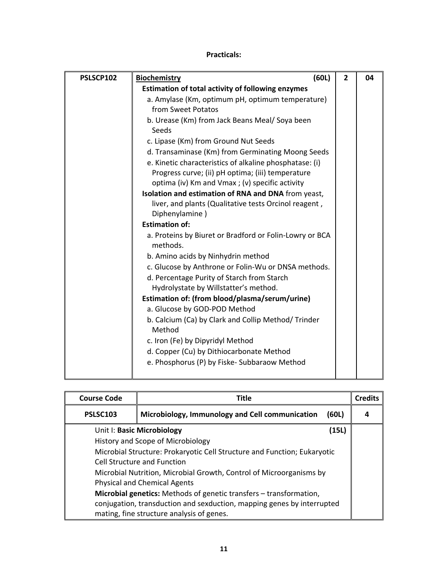| PSLSCP102 | (60L)<br><b>Biochemistry</b>                                        | $\overline{2}$ | 04 |
|-----------|---------------------------------------------------------------------|----------------|----|
|           | <b>Estimation of total activity of following enzymes</b>            |                |    |
|           | a. Amylase (Km, optimum pH, optimum temperature)                    |                |    |
|           | from Sweet Potatos                                                  |                |    |
|           | b. Urease (Km) from Jack Beans Meal/ Soya been                      |                |    |
|           | Seeds                                                               |                |    |
|           | c. Lipase (Km) from Ground Nut Seeds                                |                |    |
|           | d. Transaminase (Km) from Germinating Moong Seeds                   |                |    |
|           | e. Kinetic characteristics of alkaline phosphatase: (i)             |                |    |
|           | Progress curve; (ii) pH optima; (iii) temperature                   |                |    |
|           | optima (iv) Km and Vmax; (v) specific activity                      |                |    |
|           | Isolation and estimation of RNA and DNA from yeast,                 |                |    |
|           | liver, and plants (Qualitative tests Orcinol reagent,               |                |    |
|           | Diphenylamine)                                                      |                |    |
|           | <b>Estimation of:</b>                                               |                |    |
|           | a. Proteins by Biuret or Bradford or Folin-Lowry or BCA<br>methods. |                |    |
|           | b. Amino acids by Ninhydrin method                                  |                |    |
|           | c. Glucose by Anthrone or Folin-Wu or DNSA methods.                 |                |    |
|           | d. Percentage Purity of Starch from Starch                          |                |    |
|           | Hydrolystate by Willstatter's method.                               |                |    |
|           | Estimation of: (from blood/plasma/serum/urine)                      |                |    |
|           | a. Glucose by GOD-POD Method                                        |                |    |
|           | b. Calcium (Ca) by Clark and Collip Method/ Trinder                 |                |    |
|           | Method                                                              |                |    |
|           | c. Iron (Fe) by Dipyridyl Method                                    |                |    |
|           | d. Copper (Cu) by Dithiocarbonate Method                            |                |    |
|           | e. Phosphorus (P) by Fiske- Subbaraow Method                        |                |    |
|           |                                                                     |                |    |

| <b>Course Code</b>                                                       | <b>Title</b>                                                              |       | <b>Credits</b> |
|--------------------------------------------------------------------------|---------------------------------------------------------------------------|-------|----------------|
| <b>PSLSC103</b>                                                          | Microbiology, Immunology and Cell communication                           | (60L) | 4              |
|                                                                          | Unit I: Basic Microbiology                                                | (15L) |                |
|                                                                          | History and Scope of Microbiology                                         |       |                |
| Microbial Structure: Prokaryotic Cell Structure and Function; Eukaryotic |                                                                           |       |                |
|                                                                          | Cell Structure and Function                                               |       |                |
| Microbial Nutrition, Microbial Growth, Control of Microorganisms by      |                                                                           |       |                |
|                                                                          | <b>Physical and Chemical Agents</b>                                       |       |                |
|                                                                          | <b>Microbial genetics:</b> Methods of genetic transfers – transformation, |       |                |
|                                                                          | conjugation, transduction and sexduction, mapping genes by interrupted    |       |                |
|                                                                          | mating, fine structure analysis of genes.                                 |       |                |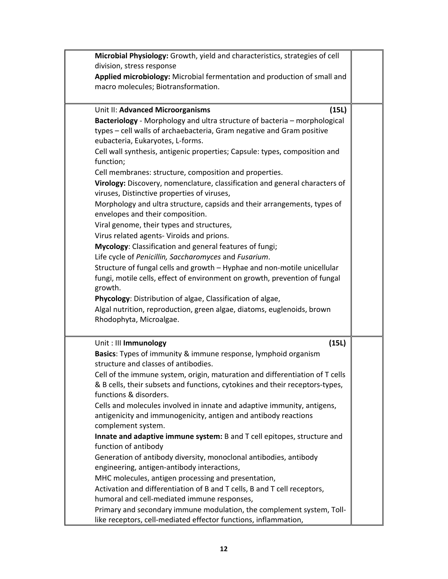| Microbial Physiology: Growth, yield and characteristics, strategies of cell<br>division, stress response<br>Applied microbiology: Microbial fermentation and production of small and   |  |
|----------------------------------------------------------------------------------------------------------------------------------------------------------------------------------------|--|
| macro molecules; Biotransformation.                                                                                                                                                    |  |
| (15L)<br>Unit II: Advanced Microorganisms                                                                                                                                              |  |
| Bacteriology - Morphology and ultra structure of bacteria - morphological<br>types - cell walls of archaebacteria, Gram negative and Gram positive<br>eubacteria, Eukaryotes, L-forms. |  |
| Cell wall synthesis, antigenic properties; Capsule: types, composition and<br>function;                                                                                                |  |
| Cell membranes: structure, composition and properties.                                                                                                                                 |  |
| Virology: Discovery, nomenclature, classification and general characters of<br>viruses, Distinctive properties of viruses,                                                             |  |
| Morphology and ultra structure, capsids and their arrangements, types of<br>envelopes and their composition.                                                                           |  |
| Viral genome, their types and structures,                                                                                                                                              |  |
| Virus related agents- Viroids and prions.                                                                                                                                              |  |
| Mycology: Classification and general features of fungi;                                                                                                                                |  |
| Life cycle of Penicillin, Saccharomyces and Fusarium.                                                                                                                                  |  |
| Structure of fungal cells and growth - Hyphae and non-motile unicellular<br>fungi, motile cells, effect of environment on growth, prevention of fungal<br>growth.                      |  |
| Phycology: Distribution of algae, Classification of algae,                                                                                                                             |  |
| Algal nutrition, reproduction, green algae, diatoms, euglenoids, brown<br>Rhodophyta, Microalgae.                                                                                      |  |
| (15L)<br>Unit: III Immunology                                                                                                                                                          |  |
| Basics: Types of immunity & immune response, lymphoid organism<br>structure and classes of antibodies.                                                                                 |  |
| Cell of the immune system, origin, maturation and differentiation of T cells<br>& B cells, their subsets and functions, cytokines and their receptors-types,<br>functions & disorders. |  |
| Cells and molecules involved in innate and adaptive immunity, antigens,<br>antigenicity and immunogenicity, antigen and antibody reactions<br>complement system.                       |  |
| Innate and adaptive immune system: B and T cell epitopes, structure and                                                                                                                |  |
| function of antibody                                                                                                                                                                   |  |
| Generation of antibody diversity, monoclonal antibodies, antibody<br>engineering, antigen-antibody interactions,                                                                       |  |
| MHC molecules, antigen processing and presentation,                                                                                                                                    |  |
| Activation and differentiation of B and T cells, B and T cell receptors,                                                                                                               |  |
| humoral and cell-mediated immune responses,                                                                                                                                            |  |
| Primary and secondary immune modulation, the complement system, Toll-<br>like receptors, cell-mediated effector functions, inflammation,                                               |  |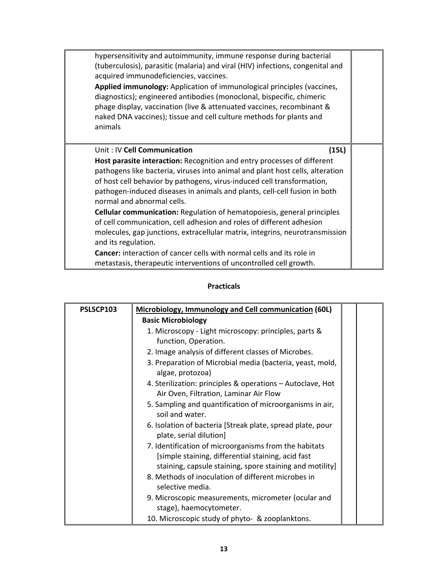| hypersensitivity and autoimmunity, immune response during bacterial<br>(tuberculosis), parasitic (malaria) and viral (HIV) infections, congenital and<br>acquired immunodeficiencies, vaccines.<br>Applied immunology: Application of immunological principles (vaccines,<br>diagnostics); engineered antibodies (monoclonal, bispecific, chimeric<br>phage display, vaccination (live & attenuated vaccines, recombinant &<br>naked DNA vaccines); tissue and cell culture methods for plants and<br>animals |  |
|---------------------------------------------------------------------------------------------------------------------------------------------------------------------------------------------------------------------------------------------------------------------------------------------------------------------------------------------------------------------------------------------------------------------------------------------------------------------------------------------------------------|--|
| Unit: IV Cell Communication<br>(15L)                                                                                                                                                                                                                                                                                                                                                                                                                                                                          |  |
| Host parasite interaction: Recognition and entry processes of different                                                                                                                                                                                                                                                                                                                                                                                                                                       |  |
| pathogens like bacteria, viruses into animal and plant host cells, alteration                                                                                                                                                                                                                                                                                                                                                                                                                                 |  |
| of host cell behavior by pathogens, virus-induced cell transformation,                                                                                                                                                                                                                                                                                                                                                                                                                                        |  |
| pathogen-induced diseases in animals and plants, cell-cell fusion in both<br>normal and abnormal cells.                                                                                                                                                                                                                                                                                                                                                                                                       |  |
| Cellular communication: Regulation of hematopoiesis, general principles                                                                                                                                                                                                                                                                                                                                                                                                                                       |  |
| of cell communication, cell adhesion and roles of different adhesion                                                                                                                                                                                                                                                                                                                                                                                                                                          |  |
| molecules, gap junctions, extracellular matrix, integrins, neurotransmission<br>and its regulation.                                                                                                                                                                                                                                                                                                                                                                                                           |  |
| <b>Cancer:</b> interaction of cancer cells with normal cells and its role in                                                                                                                                                                                                                                                                                                                                                                                                                                  |  |
| metastasis, therapeutic interventions of uncontrolled cell growth.                                                                                                                                                                                                                                                                                                                                                                                                                                            |  |

| PSLSCP103 | <b>Microbiology, Immunology and Cell communication (60L)</b>                                                                                                            |  |
|-----------|-------------------------------------------------------------------------------------------------------------------------------------------------------------------------|--|
|           | <b>Basic Microbiology</b>                                                                                                                                               |  |
|           | 1. Microscopy - Light microscopy: principles, parts &                                                                                                                   |  |
|           | function, Operation.                                                                                                                                                    |  |
|           | 2. Image analysis of different classes of Microbes.                                                                                                                     |  |
|           | 3. Preparation of Microbial media (bacteria, yeast, mold,<br>algae, protozoa)                                                                                           |  |
|           | 4. Sterilization: principles & operations – Autoclave, Hot<br>Air Oven, Filtration, Laminar Air Flow                                                                    |  |
|           | 5. Sampling and quantification of microorganisms in air,<br>soil and water.                                                                                             |  |
|           | 6. Isolation of bacteria [Streak plate, spread plate, pour<br>plate, serial dilution]                                                                                   |  |
|           | 7. Identification of microorganisms from the habitats<br>[simple staining, differential staining, acid fast<br>staining, capsule staining, spore staining and motility] |  |
|           | 8. Methods of inoculation of different microbes in<br>selective media.                                                                                                  |  |
|           | 9. Microscopic measurements, micrometer (ocular and<br>stage), haemocytometer.                                                                                          |  |
|           | 10. Microscopic study of phyto- & zooplanktons.                                                                                                                         |  |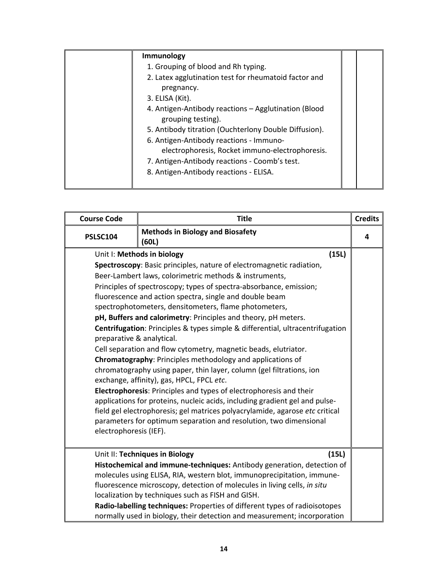| Immunology                                                                 |  |
|----------------------------------------------------------------------------|--|
| 1. Grouping of blood and Rh typing.                                        |  |
| 2. Latex agglutination test for rheumatoid factor and<br>pregnancy.        |  |
| 3. ELISA (Kit).                                                            |  |
| 4. Antigen-Antibody reactions - Agglutination (Blood<br>grouping testing). |  |
| 5. Antibody titration (Ouchterlony Double Diffusion).                      |  |
| 6. Antigen-Antibody reactions - Immuno-                                    |  |
| electrophoresis, Rocket immuno-electrophoresis.                            |  |
| 7. Antigen-Antibody reactions - Coomb's test.                              |  |
| 8. Antigen-Antibody reactions - ELISA.                                     |  |

| <b>Course Code</b>                                                       | <b>Title</b>                                                                                                                                           | <b>Credits</b> |
|--------------------------------------------------------------------------|--------------------------------------------------------------------------------------------------------------------------------------------------------|----------------|
| PSLSC104                                                                 | <b>Methods in Biology and Biosafety</b><br>(60L)                                                                                                       | 4              |
|                                                                          | (15L)<br>Unit I: Methods in biology                                                                                                                    |                |
|                                                                          | Spectroscopy: Basic principles, nature of electromagnetic radiation,                                                                                   |                |
|                                                                          | Beer-Lambert laws, colorimetric methods & instruments,                                                                                                 |                |
|                                                                          | Principles of spectroscopy; types of spectra-absorbance, emission;                                                                                     |                |
|                                                                          | fluorescence and action spectra, single and double beam                                                                                                |                |
|                                                                          | spectrophotometers, densitometers, flame photometers,                                                                                                  |                |
|                                                                          | pH, Buffers and calorimetry: Principles and theory, pH meters.                                                                                         |                |
| preparative & analytical.                                                | Centrifugation: Principles & types simple & differential, ultracentrifugation                                                                          |                |
|                                                                          | Cell separation and flow cytometry, magnetic beads, elutriator.                                                                                        |                |
| Chromatography: Principles methodology and applications of               |                                                                                                                                                        |                |
|                                                                          | chromatography using paper, thin layer, column (gel filtrations, ion                                                                                   |                |
|                                                                          | exchange, affinity), gas, HPCL, FPCL etc.                                                                                                              |                |
|                                                                          | Electrophoresis: Principles and types of electrophoresis and their                                                                                     |                |
|                                                                          | applications for proteins, nucleic acids, including gradient gel and pulse-                                                                            |                |
|                                                                          | field gel electrophoresis; gel matrices polyacrylamide, agarose etc critical                                                                           |                |
|                                                                          | parameters for optimum separation and resolution, two dimensional                                                                                      |                |
| electrophoresis (IEF).                                                   |                                                                                                                                                        |                |
|                                                                          | Unit II: Techniques in Biology<br>(15L)                                                                                                                |                |
|                                                                          | Histochemical and immune-techniques: Antibody generation, detection of                                                                                 |                |
|                                                                          | molecules using ELISA, RIA, western blot, immunoprecipitation, immune-                                                                                 |                |
| fluorescence microscopy, detection of molecules in living cells, in situ |                                                                                                                                                        |                |
|                                                                          | localization by techniques such as FISH and GISH.                                                                                                      |                |
|                                                                          | Radio-labelling techniques: Properties of different types of radioisotopes<br>normally used in biology, their detection and measurement; incorporation |                |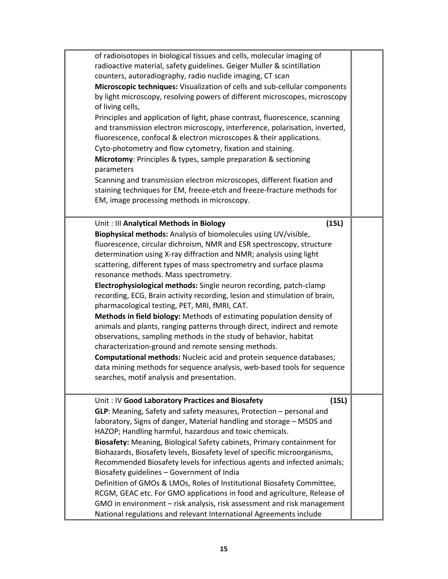| of radioisotopes in biological tissues and cells, molecular imaging of       |  |
|------------------------------------------------------------------------------|--|
| radioactive material, safety guidelines. Geiger Muller & scintillation       |  |
| counters, autoradiography, radio nuclide imaging, CT scan                    |  |
| Microscopic techniques: Visualization of cells and sub-cellular components   |  |
| by light microscopy, resolving powers of different microscopes, microscopy   |  |
| of living cells,                                                             |  |
| Principles and application of light, phase contrast, fluorescence, scanning  |  |
| and transmission electron microscopy, interference, polarisation, inverted,  |  |
| fluorescence, confocal & electron microscopes & their applications.          |  |
| Cyto-photometry and flow cytometry, fixation and staining.                   |  |
| Microtomy: Principles & types, sample preparation & sectioning<br>parameters |  |
| Scanning and transmission electron microscopes, different fixation and       |  |
| staining techniques for EM, freeze-etch and freeze-fracture methods for      |  |
| EM, image processing methods in microscopy.                                  |  |
|                                                                              |  |
| Unit: III Analytical Methods in Biology<br>(15L)                             |  |
| Biophysical methods: Analysis of biomolecules using UV/visible,              |  |
| fluorescence, circular dichroism, NMR and ESR spectroscopy, structure        |  |
| determination using X-ray diffraction and NMR; analysis using light          |  |
| scattering, different types of mass spectrometry and surface plasma          |  |
| resonance methods. Mass spectrometry.                                        |  |
| Electrophysiological methods: Single neuron recording, patch-clamp           |  |
| recording, ECG, Brain activity recording, lesion and stimulation of brain,   |  |
| pharmacological testing, PET, MRI, fMRI, CAT.                                |  |
| Methods in field biology: Methods of estimating population density of        |  |
| animals and plants, ranging patterns through direct, indirect and remote     |  |
| observations, sampling methods in the study of behavior, habitat             |  |
| characterization-ground and remote sensing methods.                          |  |
| Computational methods: Nucleic acid and protein sequence databases;          |  |
| data mining methods for sequence analysis, web-based tools for sequence      |  |
| searches, motif analysis and presentation.                                   |  |
|                                                                              |  |
| (15L)<br>Unit: IV Good Laboratory Practices and Biosafety                    |  |
| GLP: Meaning, Safety and safety measures, Protection - personal and          |  |
| laboratory, Signs of danger, Material handling and storage - MSDS and        |  |
| HAZOP; Handling harmful, hazardous and toxic chemicals.                      |  |
| Biosafety: Meaning, Biological Safety cabinets, Primary containment for      |  |
| Biohazards, Biosafety levels, Biosafety level of specific microorganisms,    |  |
| Recommended Biosafety levels for infectious agents and infected animals;     |  |
| Biosafety guidelines - Government of India                                   |  |
| Definition of GMOs & LMOs, Roles of Institutional Biosafety Committee,       |  |
| RCGM, GEAC etc. For GMO applications in food and agriculture, Release of     |  |
| GMO in environment – risk analysis, risk assessment and risk management      |  |
| National regulations and relevant International Agreements include           |  |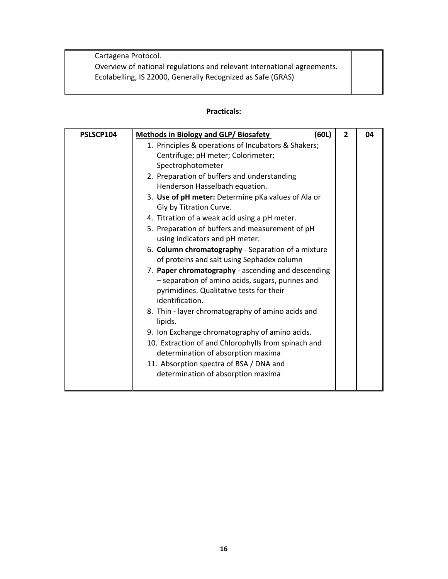Cartagena Protocol. Overview of national regulations and relevant international agreements. Ecolabelling, IS 22000, Generally Recognized as Safe (GRAS)

| PSLSCP104 | (60L)<br><b>Methods in Biology and GLP/ Biosafety</b>                                                                                                                 | $\overline{2}$ | 04 |
|-----------|-----------------------------------------------------------------------------------------------------------------------------------------------------------------------|----------------|----|
|           | 1. Principles & operations of Incubators & Shakers;                                                                                                                   |                |    |
|           | Centrifuge; pH meter; Colorimeter;                                                                                                                                    |                |    |
|           | Spectrophotometer                                                                                                                                                     |                |    |
|           | 2. Preparation of buffers and understanding                                                                                                                           |                |    |
|           | Henderson Hasselbach equation.                                                                                                                                        |                |    |
|           | 3. Use of pH meter: Determine pKa values of Ala or<br>Gly by Titration Curve.                                                                                         |                |    |
|           | 4. Titration of a weak acid using a pH meter.                                                                                                                         |                |    |
|           | 5. Preparation of buffers and measurement of pH<br>using indicators and pH meter.                                                                                     |                |    |
|           | 6. Column chromatography - Separation of a mixture<br>of proteins and salt using Sephadex column                                                                      |                |    |
|           | 7. Paper chromatography - ascending and descending<br>- separation of amino acids, sugars, purines and<br>pyrimidines. Qualitative tests for their<br>identification. |                |    |
|           | 8. Thin - layer chromatography of amino acids and<br>lipids.                                                                                                          |                |    |
|           | 9. Ion Exchange chromatography of amino acids.                                                                                                                        |                |    |
|           | 10. Extraction of and Chlorophylls from spinach and<br>determination of absorption maxima                                                                             |                |    |
|           | 11. Absorption spectra of BSA / DNA and                                                                                                                               |                |    |
|           | determination of absorption maxima                                                                                                                                    |                |    |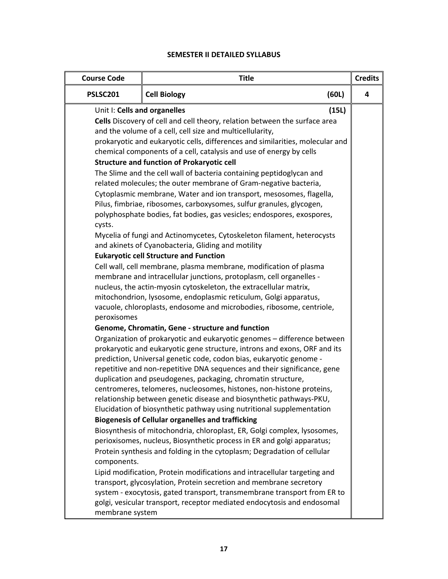### **SEMESTER II DETAILED SYLLABUS**

| <b>Course Code</b>                                    | <b>Title</b>                                                                                                                                                                                                                                                                                                                                                                                                                                                                                                                                                                                                                                                                                                                                                                                                                                                                                                                                                                                                                                                                                                                                                                                                                                                                                                                                                                                                                                                                                                                                                                                                                                                                                            |       | <b>Credits</b> |
|-------------------------------------------------------|---------------------------------------------------------------------------------------------------------------------------------------------------------------------------------------------------------------------------------------------------------------------------------------------------------------------------------------------------------------------------------------------------------------------------------------------------------------------------------------------------------------------------------------------------------------------------------------------------------------------------------------------------------------------------------------------------------------------------------------------------------------------------------------------------------------------------------------------------------------------------------------------------------------------------------------------------------------------------------------------------------------------------------------------------------------------------------------------------------------------------------------------------------------------------------------------------------------------------------------------------------------------------------------------------------------------------------------------------------------------------------------------------------------------------------------------------------------------------------------------------------------------------------------------------------------------------------------------------------------------------------------------------------------------------------------------------------|-------|----------------|
| PSLSC201                                              | (60L)<br><b>Cell Biology</b>                                                                                                                                                                                                                                                                                                                                                                                                                                                                                                                                                                                                                                                                                                                                                                                                                                                                                                                                                                                                                                                                                                                                                                                                                                                                                                                                                                                                                                                                                                                                                                                                                                                                            |       | 4              |
| Unit I: Cells and organelles<br>cysts.<br>peroxisomes | Cells Discovery of cell and cell theory, relation between the surface area<br>and the volume of a cell, cell size and multicellularity,<br>prokaryotic and eukaryotic cells, differences and similarities, molecular and<br>chemical components of a cell, catalysis and use of energy by cells<br><b>Structure and function of Prokaryotic cell</b><br>The Slime and the cell wall of bacteria containing peptidoglycan and<br>related molecules; the outer membrane of Gram-negative bacteria,<br>Cytoplasmic membrane, Water and ion transport, mesosomes, flagella,<br>Pilus, fimbriae, ribosomes, carboxysomes, sulfur granules, glycogen,<br>polyphosphate bodies, fat bodies, gas vesicles; endospores, exospores,<br>Mycelia of fungi and Actinomycetes, Cytoskeleton filament, heterocysts<br>and akinets of Cyanobacteria, Gliding and motility<br><b>Eukaryotic cell Structure and Function</b><br>Cell wall, cell membrane, plasma membrane, modification of plasma<br>membrane and intracellular junctions, protoplasm, cell organelles -<br>nucleus, the actin-myosin cytoskeleton, the extracellular matrix,<br>mitochondrion, lysosome, endoplasmic reticulum, Golgi apparatus,<br>vacuole, chloroplasts, endosome and microbodies, ribosome, centriole,<br>Genome, Chromatin, Gene - structure and function<br>Organization of prokaryotic and eukaryotic genomes - difference between<br>prokaryotic and eukaryotic gene structure, introns and exons, ORF and its<br>prediction, Universal genetic code, codon bias, eukaryotic genome -<br>repetitive and non-repetitive DNA sequences and their significance, gene<br>duplication and pseudogenes, packaging, chromatin structure, | (15L) |                |
|                                                       | centromeres, telomeres, nucleosomes, histones, non-histone proteins,<br>relationship between genetic disease and biosynthetic pathways-PKU,<br>Elucidation of biosynthetic pathway using nutritional supplementation<br><b>Biogenesis of Cellular organelles and trafficking</b>                                                                                                                                                                                                                                                                                                                                                                                                                                                                                                                                                                                                                                                                                                                                                                                                                                                                                                                                                                                                                                                                                                                                                                                                                                                                                                                                                                                                                        |       |                |
| components.                                           | Biosynthesis of mitochondria, chloroplast, ER, Golgi complex, lysosomes,<br>perioxisomes, nucleus, Biosynthetic process in ER and golgi apparatus;<br>Protein synthesis and folding in the cytoplasm; Degradation of cellular                                                                                                                                                                                                                                                                                                                                                                                                                                                                                                                                                                                                                                                                                                                                                                                                                                                                                                                                                                                                                                                                                                                                                                                                                                                                                                                                                                                                                                                                           |       |                |
| membrane system                                       | Lipid modification, Protein modifications and intracellular targeting and<br>transport, glycosylation, Protein secretion and membrane secretory<br>system - exocytosis, gated transport, transmembrane transport from ER to<br>golgi, vesicular transport, receptor mediated endocytosis and endosomal                                                                                                                                                                                                                                                                                                                                                                                                                                                                                                                                                                                                                                                                                                                                                                                                                                                                                                                                                                                                                                                                                                                                                                                                                                                                                                                                                                                                  |       |                |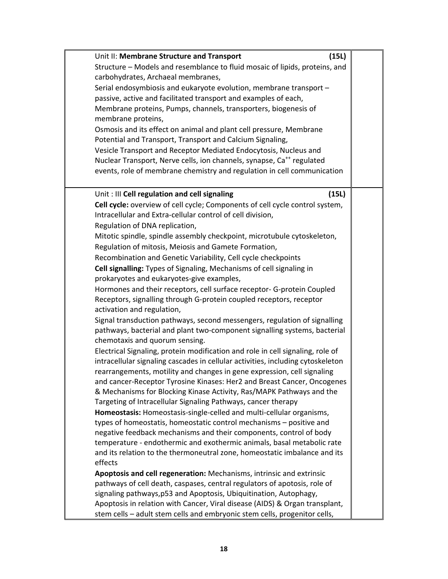| Unit II: Membrane Structure and Transport                                                                                                                         | (15L) |
|-------------------------------------------------------------------------------------------------------------------------------------------------------------------|-------|
| Structure - Models and resemblance to fluid mosaic of lipids, proteins, and                                                                                       |       |
| carbohydrates, Archaeal membranes,                                                                                                                                |       |
| Serial endosymbiosis and eukaryote evolution, membrane transport -                                                                                                |       |
| passive, active and facilitated transport and examples of each,                                                                                                   |       |
| Membrane proteins, Pumps, channels, transporters, biogenesis of                                                                                                   |       |
| membrane proteins,                                                                                                                                                |       |
| Osmosis and its effect on animal and plant cell pressure, Membrane                                                                                                |       |
| Potential and Transport, Transport and Calcium Signaling,                                                                                                         |       |
| Vesicle Transport and Receptor Mediated Endocytosis, Nucleus and                                                                                                  |       |
| Nuclear Transport, Nerve cells, ion channels, synapse, Ca <sup>++</sup> regulated                                                                                 |       |
| events, role of membrane chemistry and regulation in cell communication                                                                                           |       |
|                                                                                                                                                                   |       |
| Unit: III Cell regulation and cell signaling                                                                                                                      | (15L) |
| Cell cycle: overview of cell cycle; Components of cell cycle control system,                                                                                      |       |
| Intracellular and Extra-cellular control of cell division,                                                                                                        |       |
| Regulation of DNA replication,                                                                                                                                    |       |
| Mitotic spindle, spindle assembly checkpoint, microtubule cytoskeleton,                                                                                           |       |
| Regulation of mitosis, Meiosis and Gamete Formation,                                                                                                              |       |
| Recombination and Genetic Variability, Cell cycle checkpoints                                                                                                     |       |
| Cell signalling: Types of Signaling, Mechanisms of cell signaling in                                                                                              |       |
| prokaryotes and eukaryotes-give examples,                                                                                                                         |       |
| Hormones and their receptors, cell surface receptor- G-protein Coupled                                                                                            |       |
| Receptors, signalling through G-protein coupled receptors, receptor                                                                                               |       |
| activation and regulation,                                                                                                                                        |       |
| Signal transduction pathways, second messengers, regulation of signalling                                                                                         |       |
| pathways, bacterial and plant two-component signalling systems, bacterial                                                                                         |       |
| chemotaxis and quorum sensing.                                                                                                                                    |       |
| Electrical Signaling, protein modification and role in cell signaling, role of<br>intracellular signaling cascades in cellular activities, including cytoskeleton |       |
| rearrangements, motility and changes in gene expression, cell signaling                                                                                           |       |
| and cancer-Receptor Tyrosine Kinases: Her2 and Breast Cancer, Oncogenes                                                                                           |       |
| & Mechanisms for Blocking Kinase Activity, Ras/MAPK Pathways and the                                                                                              |       |
| Targeting of Intracellular Signaling Pathways, cancer therapy                                                                                                     |       |
| Homeostasis: Homeostasis-single-celled and multi-cellular organisms,                                                                                              |       |
| types of homeostatis, homeostatic control mechanisms – positive and                                                                                               |       |
| negative feedback mechanisms and their components, control of body                                                                                                |       |
| temperature - endothermic and exothermic animals, basal metabolic rate                                                                                            |       |
| and its relation to the thermoneutral zone, homeostatic imbalance and its                                                                                         |       |
| effects                                                                                                                                                           |       |
| Apoptosis and cell regeneration: Mechanisms, intrinsic and extrinsic                                                                                              |       |
| pathways of cell death, caspases, central regulators of apotosis, role of                                                                                         |       |
| signaling pathways, p53 and Apoptosis, Ubiquitination, Autophagy,                                                                                                 |       |
| Apoptosis in relation with Cancer, Viral disease (AIDS) & Organ transplant,                                                                                       |       |
| stem cells - adult stem cells and embryonic stem cells, progenitor cells,                                                                                         |       |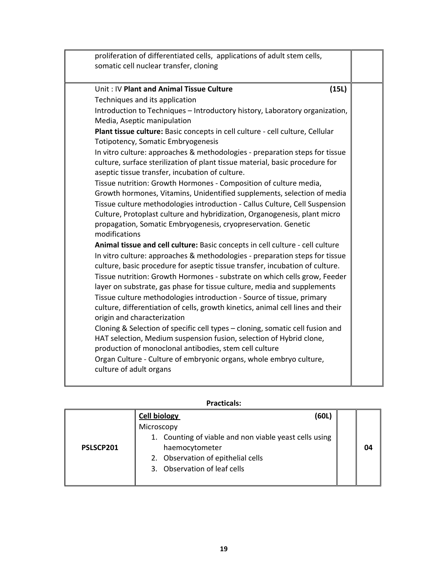| proliferation of differentiated cells, applications of adult stem cells,<br>somatic cell nuclear transfer, cloning                                                                                                                                                                                                                                                                                                                                                                                                                                                                                                                                                                                                                                                                                                                                                                                                                                                                                                                                                                                                                                                                                                                                                                                                                                                                                                                                                                                                                                                                                                                                                                                                                                            |  |
|---------------------------------------------------------------------------------------------------------------------------------------------------------------------------------------------------------------------------------------------------------------------------------------------------------------------------------------------------------------------------------------------------------------------------------------------------------------------------------------------------------------------------------------------------------------------------------------------------------------------------------------------------------------------------------------------------------------------------------------------------------------------------------------------------------------------------------------------------------------------------------------------------------------------------------------------------------------------------------------------------------------------------------------------------------------------------------------------------------------------------------------------------------------------------------------------------------------------------------------------------------------------------------------------------------------------------------------------------------------------------------------------------------------------------------------------------------------------------------------------------------------------------------------------------------------------------------------------------------------------------------------------------------------------------------------------------------------------------------------------------------------|--|
| Unit: IV Plant and Animal Tissue Culture<br>(15L)<br>Techniques and its application<br>Introduction to Techniques - Introductory history, Laboratory organization,<br>Media, Aseptic manipulation<br>Plant tissue culture: Basic concepts in cell culture - cell culture, Cellular<br>Totipotency, Somatic Embryogenesis<br>In vitro culture: approaches & methodologies - preparation steps for tissue<br>culture, surface sterilization of plant tissue material, basic procedure for<br>aseptic tissue transfer, incubation of culture.<br>Tissue nutrition: Growth Hormones - Composition of culture media,<br>Growth hormones, Vitamins, Unidentified supplements, selection of media<br>Tissue culture methodologies introduction - Callus Culture, Cell Suspension<br>Culture, Protoplast culture and hybridization, Organogenesis, plant micro<br>propagation, Somatic Embryogenesis, cryopreservation. Genetic<br>modifications<br>Animal tissue and cell culture: Basic concepts in cell culture - cell culture<br>In vitro culture: approaches & methodologies - preparation steps for tissue<br>culture, basic procedure for aseptic tissue transfer, incubation of culture.<br>Tissue nutrition: Growth Hormones - substrate on which cells grow, Feeder<br>layer on substrate, gas phase for tissue culture, media and supplements<br>Tissue culture methodologies introduction - Source of tissue, primary<br>culture, differentiation of cells, growth kinetics, animal cell lines and their<br>origin and characterization<br>Cloning & Selection of specific cell types - cloning, somatic cell fusion and<br>HAT selection, Medium suspension fusion, selection of Hybrid clone,<br>production of monoclonal antibodies, stem cell culture |  |
| Organ Culture - Culture of embryonic organs, whole embryo culture,<br>culture of adult organs                                                                                                                                                                                                                                                                                                                                                                                                                                                                                                                                                                                                                                                                                                                                                                                                                                                                                                                                                                                                                                                                                                                                                                                                                                                                                                                                                                                                                                                                                                                                                                                                                                                                 |  |

|           |                     | riallilais.                                            |    |
|-----------|---------------------|--------------------------------------------------------|----|
|           | <b>Cell biology</b> | (60L)                                                  |    |
|           | Microscopy          |                                                        |    |
|           |                     | 1. Counting of viable and non viable yeast cells using |    |
| PSLSCP201 |                     | haemocytometer                                         | በ4 |
|           |                     | 2. Observation of epithelial cells                     |    |
|           |                     | 3. Observation of leaf cells                           |    |
|           |                     |                                                        |    |
|           |                     |                                                        |    |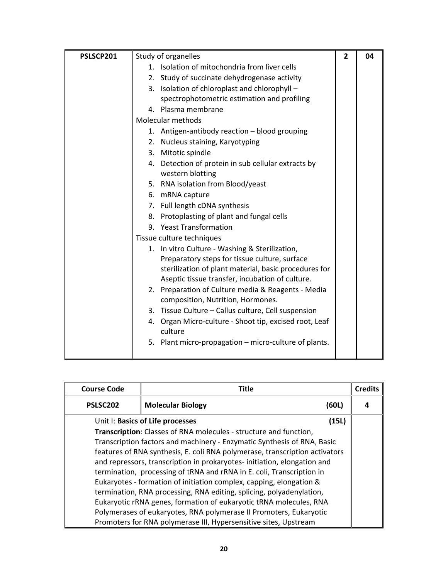| PSLSCP201 | Study of organelles                                                                     | $\overline{2}$ | 04 |
|-----------|-----------------------------------------------------------------------------------------|----------------|----|
|           | 1. Isolation of mitochondria from liver cells                                           |                |    |
|           | 2. Study of succinate dehydrogenase activity                                            |                |    |
|           | 3. Isolation of chloroplast and chlorophyll -                                           |                |    |
|           | spectrophotometric estimation and profiling                                             |                |    |
|           | 4. Plasma membrane                                                                      |                |    |
|           | Molecular methods                                                                       |                |    |
|           | 1. Antigen-antibody reaction - blood grouping                                           |                |    |
|           | 2. Nucleus staining, Karyotyping                                                        |                |    |
|           | 3. Mitotic spindle                                                                      |                |    |
|           | 4. Detection of protein in sub cellular extracts by                                     |                |    |
|           | western blotting                                                                        |                |    |
|           | 5. RNA isolation from Blood/yeast                                                       |                |    |
|           | 6. mRNA capture                                                                         |                |    |
|           | 7. Full length cDNA synthesis                                                           |                |    |
|           | 8. Protoplasting of plant and fungal cells                                              |                |    |
|           | 9. Yeast Transformation                                                                 |                |    |
|           | Tissue culture techniques                                                               |                |    |
|           | 1. In vitro Culture - Washing & Sterilization,                                          |                |    |
|           | Preparatory steps for tissue culture, surface                                           |                |    |
|           | sterilization of plant material, basic procedures for                                   |                |    |
|           | Aseptic tissue transfer, incubation of culture.                                         |                |    |
|           | 2. Preparation of Culture media & Reagents - Media<br>composition, Nutrition, Hormones. |                |    |
|           | 3. Tissue Culture - Callus culture, Cell suspension                                     |                |    |
|           | 4. Organ Micro-culture - Shoot tip, excised root, Leaf<br>culture                       |                |    |
|           | 5. Plant micro-propagation – micro-culture of plants.                                   |                |    |

| <b>Course Code</b>   | Title                                                                       |       | <b>Credits</b> |
|----------------------|-----------------------------------------------------------------------------|-------|----------------|
| PSLSC <sub>202</sub> | <b>Molecular Biology</b>                                                    | (60L) |                |
|                      | Unit I: Basics of Life processes                                            | (15L) |                |
|                      | Transcription: Classes of RNA molecules - structure and function,           |       |                |
|                      | Transcription factors and machinery - Enzymatic Synthesis of RNA, Basic     |       |                |
|                      | features of RNA synthesis, E. coli RNA polymerase, transcription activators |       |                |
|                      | and repressors, transcription in prokaryotes-initiation, elongation and     |       |                |
|                      | termination, processing of tRNA and rRNA in E. coli, Transcription in       |       |                |
|                      | Eukaryotes - formation of initiation complex, capping, elongation &         |       |                |
|                      | termination, RNA processing, RNA editing, splicing, polyadenylation,        |       |                |
|                      | Eukaryotic rRNA genes, formation of eukaryotic tRNA molecules, RNA          |       |                |
|                      | Polymerases of eukaryotes, RNA polymerase II Promoters, Eukaryotic          |       |                |
|                      | Promoters for RNA polymerase III, Hypersensitive sites, Upstream            |       |                |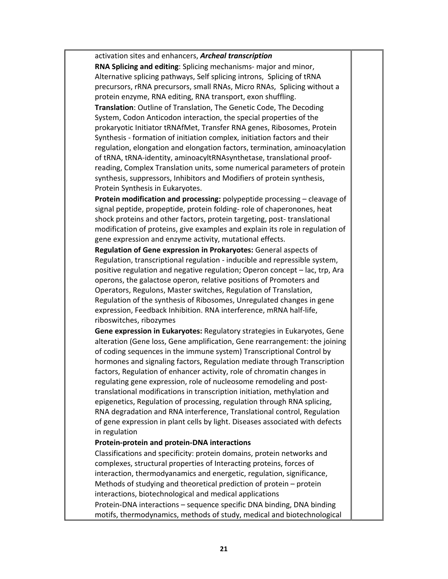activation sites and enhancers, *Archeal transcription*

**RNA Splicing and editing**: Splicing mechanisms‐ major and minor, Alternative splicing pathways, Self splicing introns, Splicing of tRNA precursors, rRNA precursors, small RNAs, Micro RNAs, Splicing without a protein enzyme, RNA editing, RNA transport, exon shuffling.

**Translation**: Outline of Translation, The Genetic Code, The Decoding System, Codon Anticodon interaction, the special properties of the prokaryotic Initiator tRNAfMet, Transfer RNA genes, Ribosomes, Protein Synthesis ‐ formation of initiation complex, initiation factors and their regulation, elongation and elongation factors, termination, aminoacylation of tRNA, tRNA‐identity, aminoacyltRNAsynthetase, translational proof‐ reading, Complex Translation units, some numerical parameters of protein synthesis, suppressors, Inhibitors and Modifiers of protein synthesis, Protein Synthesis in Eukaryotes.

**Protein modification and processing:** polypeptide processing – cleavage of signal peptide, propeptide, protein folding‐ role of chaperonones, heat shock proteins and other factors, protein targeting, post-translational modification of proteins, give examples and explain its role in regulation of gene expression and enzyme activity, mutational effects.

**Regulation of Gene expression in Prokaryotes:** General aspects of Regulation, transcriptional regulation ‐ inducible and repressible system, positive regulation and negative regulation; Operon concept – lac, trp, Ara operons, the galactose operon, relative positions of Promoters and Operators, Regulons, Master switches, Regulation of Translation, Regulation of the synthesis of Ribosomes, Unregulated changes in gene expression, Feedback Inhibition. RNA interference, mRNA half‐life, riboswitches, ribozymes

**Gene expression in Eukaryotes:** Regulatory strategies in Eukaryotes, Gene alteration (Gene loss, Gene amplification, Gene rearrangement: the joining of coding sequences in the immune system) Transcriptional Control by hormones and signaling factors, Regulation mediate through Transcription factors, Regulation of enhancer activity, role of chromatin changes in regulating gene expression, role of nucleosome remodeling and post‐ translational modifications in transcription initiation, methylation and epigenetics, Regulation of processing, regulation through RNA splicing, RNA degradation and RNA interference, Translational control, Regulation of gene expression in plant cells by light. Diseases associated with defects in regulation

#### **Protein‐protein and protein‐DNA interactions**

Classifications and specificity: protein domains, protein networks and complexes, structural properties of Interacting proteins, forces of interaction, thermodyanamics and energetic, regulation, significance, Methods of studying and theoretical prediction of protein – protein interactions, biotechnological and medical applications Protein‐DNA interactions – sequence specific DNA binding, DNA binding motifs, thermodynamics, methods of study, medical and biotechnological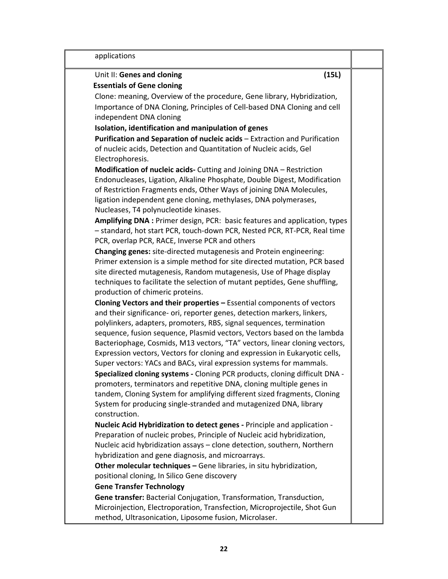| applications                                                                |  |
|-----------------------------------------------------------------------------|--|
| (15L)<br>Unit II: Genes and cloning                                         |  |
| <b>Essentials of Gene cloning</b>                                           |  |
| Clone: meaning, Overview of the procedure, Gene library, Hybridization,     |  |
| Importance of DNA Cloning, Principles of Cell-based DNA Cloning and cell    |  |
| independent DNA cloning                                                     |  |
| Isolation, identification and manipulation of genes                         |  |
| Purification and Separation of nucleic acids - Extraction and Purification  |  |
| of nucleic acids, Detection and Quantitation of Nucleic acids, Gel          |  |
| Electrophoresis.                                                            |  |
| Modification of nucleic acids- Cutting and Joining DNA - Restriction        |  |
| Endonucleases, Ligation, Alkaline Phosphate, Double Digest, Modification    |  |
| of Restriction Fragments ends, Other Ways of joining DNA Molecules,         |  |
| ligation independent gene cloning, methylases, DNA polymerases,             |  |
| Nucleases, T4 polynucleotide kinases.                                       |  |
| Amplifying DNA : Primer design, PCR: basic features and application, types  |  |
| - standard, hot start PCR, touch-down PCR, Nested PCR, RT-PCR, Real time    |  |
| PCR, overlap PCR, RACE, Inverse PCR and others                              |  |
| Changing genes: site-directed mutagenesis and Protein engineering:          |  |
| Primer extension is a simple method for site directed mutation, PCR based   |  |
| site directed mutagenesis, Random mutagenesis, Use of Phage display         |  |
| techniques to facilitate the selection of mutant peptides, Gene shuffling,  |  |
| production of chimeric proteins.                                            |  |
| Cloning Vectors and their properties - Essential components of vectors      |  |
| and their significance- ori, reporter genes, detection markers, linkers,    |  |
| polylinkers, adapters, promoters, RBS, signal sequences, termination        |  |
| sequence, fusion sequence, Plasmid vectors, Vectors based on the lambda     |  |
| Bacteriophage, Cosmids, M13 vectors, "TA" vectors, linear cloning vectors,  |  |
| Expression vectors, Vectors for cloning and expression in Eukaryotic cells, |  |
| Super vectors: YACs and BACs, viral expression systems for mammals.         |  |
| Specialized cloning systems - Cloning PCR products, cloning difficult DNA - |  |
| promoters, terminators and repetitive DNA, cloning multiple genes in        |  |
| tandem, Cloning System for amplifying different sized fragments, Cloning    |  |
| System for producing single-stranded and mutagenized DNA, library           |  |
| construction.                                                               |  |
| Nucleic Acid Hybridization to detect genes - Principle and application -    |  |
| Preparation of nucleic probes, Principle of Nucleic acid hybridization,     |  |
| Nucleic acid hybridization assays - clone detection, southern, Northern     |  |
| hybridization and gene diagnosis, and microarrays.                          |  |
| Other molecular techniques - Gene libraries, in situ hybridization,         |  |
| positional cloning, In Silico Gene discovery                                |  |
| <b>Gene Transfer Technology</b>                                             |  |
| Gene transfer: Bacterial Conjugation, Transformation, Transduction,         |  |
| Microinjection, Electroporation, Transfection, Microprojectile, Shot Gun    |  |
| method, Ultrasonication, Liposome fusion, Microlaser.                       |  |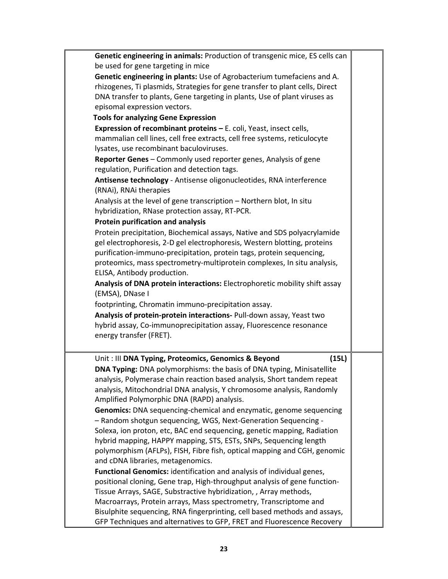| Genetic engineering in animals: Production of transgenic mice, ES cells can  |  |
|------------------------------------------------------------------------------|--|
| be used for gene targeting in mice                                           |  |
| Genetic engineering in plants: Use of Agrobacterium tumefaciens and A.       |  |
| rhizogenes, Ti plasmids, Strategies for gene transfer to plant cells, Direct |  |
| DNA transfer to plants, Gene targeting in plants, Use of plant viruses as    |  |
| episomal expression vectors.                                                 |  |
| <b>Tools for analyzing Gene Expression</b>                                   |  |
| Expression of recombinant proteins - E. coli, Yeast, insect cells,           |  |
| mammalian cell lines, cell free extracts, cell free systems, reticulocyte    |  |
| lysates, use recombinant baculoviruses.                                      |  |
| Reporter Genes - Commonly used reporter genes, Analysis of gene              |  |
| regulation, Purification and detection tags.                                 |  |
| Antisense technology - Antisense oligonucleotides, RNA interference          |  |
| (RNAi), RNAi therapies                                                       |  |
| Analysis at the level of gene transcription - Northern blot, In situ         |  |
| hybridization, RNase protection assay, RT-PCR.                               |  |
| <b>Protein purification and analysis</b>                                     |  |
| Protein precipitation, Biochemical assays, Native and SDS polyacrylamide     |  |
| gel electrophoresis, 2-D gel electrophoresis, Western blotting, proteins     |  |
| purification-immuno-precipitation, protein tags, protein sequencing,         |  |
| proteomics, mass spectrometry-multiprotein complexes, In situ analysis,      |  |
| ELISA, Antibody production.                                                  |  |
| Analysis of DNA protein interactions: Electrophoretic mobility shift assay   |  |
| (EMSA), DNase I                                                              |  |
| footprinting, Chromatin immuno-precipitation assay.                          |  |
| Analysis of protein-protein interactions- Pull-down assay, Yeast two         |  |
| hybrid assay, Co-immunoprecipitation assay, Fluorescence resonance           |  |
| energy transfer (FRET).                                                      |  |
|                                                                              |  |
| Unit : III DNA Typing, Proteomics, Genomics & Beyond<br>(15L)                |  |
| DNA Typing: DNA polymorphisms: the basis of DNA typing, Minisatellite        |  |
| analysis, Polymerase chain reaction based analysis, Short tandem repeat      |  |
| analysis, Mitochondrial DNA analysis, Y chromosome analysis, Randomly        |  |
| Amplified Polymorphic DNA (RAPD) analysis.                                   |  |
| Genomics: DNA sequencing-chemical and enzymatic, genome sequencing           |  |
| - Random shotgun sequencing, WGS, Next-Generation Sequencing -               |  |
| Solexa, ion proton, etc, BAC end sequencing, genetic mapping, Radiation      |  |
| hybrid mapping, HAPPY mapping, STS, ESTs, SNPs, Sequencing length            |  |
| polymorphism (AFLPs), FISH, Fibre fish, optical mapping and CGH, genomic     |  |
| and cDNA libraries, metagenomics.                                            |  |
| Functional Genomics: identification and analysis of individual genes,        |  |
| positional cloning, Gene trap, High-throughput analysis of gene function-    |  |
| Tissue Arrays, SAGE, Substractive hybridization, , Array methods,            |  |
| Macroarrays, Protein arrays, Mass spectrometry, Transcriptome and            |  |
| Bisulphite sequencing, RNA fingerprinting, cell based methods and assays,    |  |
| GFP Techniques and alternatives to GFP, FRET and Fluorescence Recovery       |  |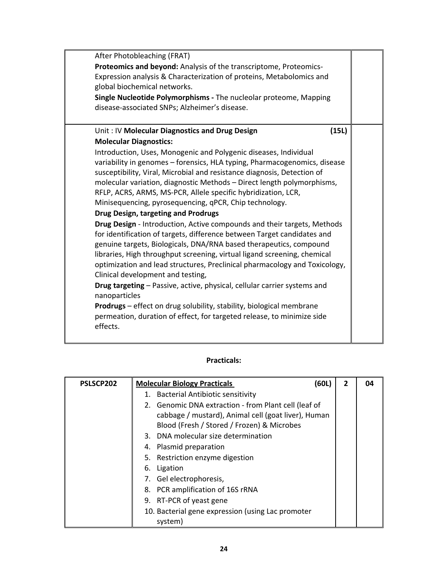| After Photobleaching (FRAT)                                                 |  |
|-----------------------------------------------------------------------------|--|
| Proteomics and beyond: Analysis of the transcriptome, Proteomics-           |  |
| Expression analysis & Characterization of proteins, Metabolomics and        |  |
| global biochemical networks.                                                |  |
| Single Nucleotide Polymorphisms - The nucleolar proteome, Mapping           |  |
| disease-associated SNPs; Alzheimer's disease.                               |  |
|                                                                             |  |
| Unit: IV Molecular Diagnostics and Drug Design<br>(15L)                     |  |
| <b>Molecular Diagnostics:</b>                                               |  |
| Introduction, Uses, Monogenic and Polygenic diseases, Individual            |  |
| variability in genomes - forensics, HLA typing, Pharmacogenomics, disease   |  |
| susceptibility, Viral, Microbial and resistance diagnosis, Detection of     |  |
| molecular variation, diagnostic Methods - Direct length polymorphisms,      |  |
| RFLP, ACRS, ARMS, MS-PCR, Allele specific hybridization, LCR,               |  |
| Minisequencing, pyrosequencing, qPCR, Chip technology.                      |  |
| Drug Design, targeting and Prodrugs                                         |  |
| Drug Design - Introduction, Active compounds and their targets, Methods     |  |
| for identification of targets, difference between Target candidates and     |  |
| genuine targets, Biologicals, DNA/RNA based therapeutics, compound          |  |
| libraries, High throughput screening, virtual ligand screening, chemical    |  |
| optimization and lead structures, Preclinical pharmacology and Toxicology,  |  |
| Clinical development and testing,                                           |  |
| Drug targeting - Passive, active, physical, cellular carrier systems and    |  |
| nanoparticles                                                               |  |
| <b>Prodrugs</b> – effect on drug solubility, stability, biological membrane |  |
| permeation, duration of effect, for targeted release, to minimize side      |  |
| effects.                                                                    |  |
|                                                                             |  |

| PSLSCP202 | <b>Molecular Biology Practicals</b><br>(60L)                                                                                                              | 2 | 04 |
|-----------|-----------------------------------------------------------------------------------------------------------------------------------------------------------|---|----|
|           | 1. Bacterial Antibiotic sensitivity                                                                                                                       |   |    |
|           | 2. Genomic DNA extraction - from Plant cell (leaf of<br>cabbage / mustard), Animal cell (goat liver), Human<br>Blood (Fresh / Stored / Frozen) & Microbes |   |    |
|           | 3. DNA molecular size determination                                                                                                                       |   |    |
|           | 4. Plasmid preparation                                                                                                                                    |   |    |
|           | 5. Restriction enzyme digestion                                                                                                                           |   |    |
|           | 6. Ligation                                                                                                                                               |   |    |
|           | 7. Gel electrophoresis,                                                                                                                                   |   |    |
|           | 8. PCR amplification of 16S rRNA                                                                                                                          |   |    |
|           | 9. RT-PCR of yeast gene                                                                                                                                   |   |    |
|           | 10. Bacterial gene expression (using Lac promoter<br>system)                                                                                              |   |    |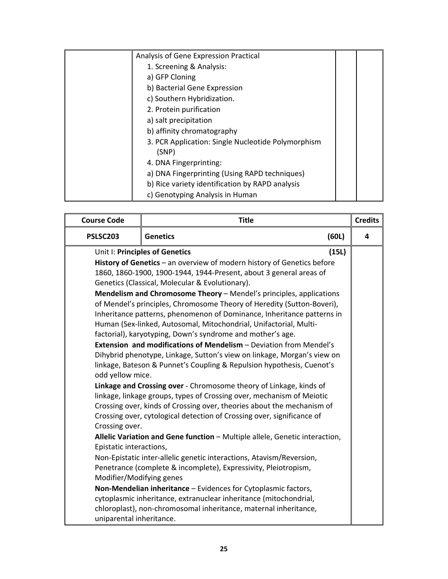| Analysis of Gene Expression Practical                       |  |
|-------------------------------------------------------------|--|
| 1. Screening & Analysis:                                    |  |
| a) GFP Cloning                                              |  |
| b) Bacterial Gene Expression                                |  |
| c) Southern Hybridization.                                  |  |
| 2. Protein purification                                     |  |
| a) salt precipitation                                       |  |
| b) affinity chromatography                                  |  |
| 3. PCR Application: Single Nucleotide Polymorphism<br>(SNP) |  |
| 4. DNA Fingerprinting:                                      |  |
| a) DNA Fingerprinting (Using RAPD techniques)               |  |
| b) Rice variety identification by RAPD analysis             |  |
| c) Genotyping Analysis in Human                             |  |

| <b>Course Code</b>       | <b>Title</b>                                                                                                                                |       | <b>Credits</b> |
|--------------------------|---------------------------------------------------------------------------------------------------------------------------------------------|-------|----------------|
| PSLSC203                 | <b>Genetics</b>                                                                                                                             | (60L) | 4              |
|                          | Unit I: Principles of Genetics                                                                                                              | (15L) |                |
|                          | History of Genetics - an overview of modern history of Genetics before                                                                      |       |                |
|                          | 1860, 1860-1900, 1900-1944, 1944-Present, about 3 general areas of                                                                          |       |                |
|                          | Genetics (Classical, Molecular & Evolutionary).                                                                                             |       |                |
|                          | Mendelism and Chromosome Theory - Mendel's principles, applications                                                                         |       |                |
|                          | of Mendel's principles, Chromosome Theory of Heredity (Sutton-Boveri),                                                                      |       |                |
|                          | Inheritance patterns, phenomenon of Dominance, Inheritance patterns in<br>Human (Sex-linked, Autosomal, Mitochondrial, Unifactorial, Multi- |       |                |
|                          | factorial), karyotyping, Down's syndrome and mother's age.                                                                                  |       |                |
|                          | <b>Extension and modifications of Mendelism - Deviation from Mendel's</b>                                                                   |       |                |
|                          | Dihybrid phenotype, Linkage, Sutton's view on linkage, Morgan's view on                                                                     |       |                |
|                          | linkage, Bateson & Punnet's Coupling & Repulsion hypothesis, Cuenot's                                                                       |       |                |
| odd yellow mice.         |                                                                                                                                             |       |                |
|                          | Linkage and Crossing over - Chromosome theory of Linkage, kinds of                                                                          |       |                |
|                          | linkage, linkage groups, types of Crossing over, mechanism of Meiotic                                                                       |       |                |
|                          | Crossing over, kinds of Crossing over, theories about the mechanism of                                                                      |       |                |
|                          | Crossing over, cytological detection of Crossing over, significance of                                                                      |       |                |
| Crossing over.           | Allelic Variation and Gene function - Multiple allele, Genetic interaction,                                                                 |       |                |
| Epistatic interactions,  |                                                                                                                                             |       |                |
|                          | Non-Epistatic inter-allelic genetic interactions, Atavism/Reversion,                                                                        |       |                |
|                          | Penetrance (complete & incomplete), Expressivity, Pleiotropism,                                                                             |       |                |
| Modifier/Modifying genes |                                                                                                                                             |       |                |
|                          | Non-Mendelian inheritance - Evidences for Cytoplasmic factors,                                                                              |       |                |
|                          | cytoplasmic inheritance, extranuclear inheritance (mitochondrial,                                                                           |       |                |
|                          | chloroplast), non-chromosomal inheritance, maternal inheritance,                                                                            |       |                |
| uniparental inheritance. |                                                                                                                                             |       |                |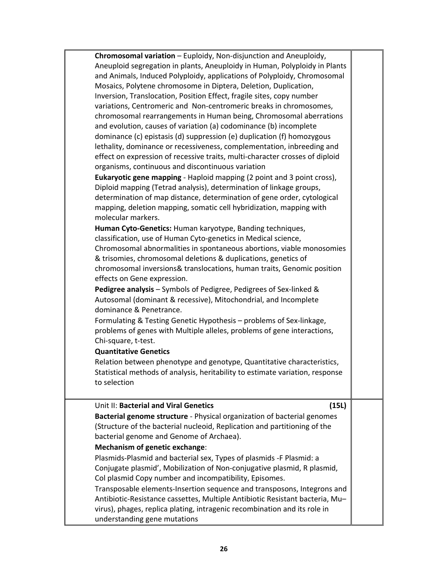| Chromosomal variation - Euploidy, Non-disjunction and Aneuploidy,             |  |
|-------------------------------------------------------------------------------|--|
| Aneuploid segregation in plants, Aneuploidy in Human, Polyploidy in Plants    |  |
| and Animals, Induced Polyploidy, applications of Polyploidy, Chromosomal      |  |
| Mosaics, Polytene chromosome in Diptera, Deletion, Duplication,               |  |
| Inversion, Translocation, Position Effect, fragile sites, copy number         |  |
| variations, Centromeric and Non-centromeric breaks in chromosomes,            |  |
| chromosomal rearrangements in Human being, Chromosomal aberrations            |  |
| and evolution, causes of variation (a) codominance (b) incomplete             |  |
| dominance (c) epistasis (d) suppression (e) duplication (f) homozygous        |  |
| lethality, dominance or recessiveness, complementation, inbreeding and        |  |
| effect on expression of recessive traits, multi-character crosses of diploid  |  |
| organisms, continuous and discontinuous variation                             |  |
| Eukaryotic gene mapping - Haploid mapping (2 point and 3 point cross),        |  |
| Diploid mapping (Tetrad analysis), determination of linkage groups,           |  |
| determination of map distance, determination of gene order, cytological       |  |
| mapping, deletion mapping, somatic cell hybridization, mapping with           |  |
| molecular markers.                                                            |  |
| Human Cyto-Genetics: Human karyotype, Banding techniques,                     |  |
| classification, use of Human Cyto-genetics in Medical science,                |  |
| Chromosomal abnormalities in spontaneous abortions, viable monosomies         |  |
| & trisomies, chromosomal deletions & duplications, genetics of                |  |
|                                                                               |  |
| chromosomal inversions& translocations, human traits, Genomic position        |  |
| effects on Gene expression.                                                   |  |
| Pedigree analysis - Symbols of Pedigree, Pedigrees of Sex-linked &            |  |
| Autosomal (dominant & recessive), Mitochondrial, and Incomplete               |  |
| dominance & Penetrance.                                                       |  |
| Formulating & Testing Genetic Hypothesis - problems of Sex-linkage,           |  |
| problems of genes with Multiple alleles, problems of gene interactions,       |  |
| Chi-square, t-test.                                                           |  |
| <b>Quantitative Genetics</b>                                                  |  |
| Relation between phenotype and genotype, Quantitative characteristics,        |  |
| Statistical methods of analysis, heritability to estimate variation, response |  |
| to selection                                                                  |  |
|                                                                               |  |
| Unit II: Bacterial and Viral Genetics<br>(15L)                                |  |
| Bacterial genome structure - Physical organization of bacterial genomes       |  |
| (Structure of the bacterial nucleoid, Replication and partitioning of the     |  |
| bacterial genome and Genome of Archaea).                                      |  |
| <b>Mechanism of genetic exchange:</b>                                         |  |
| Plasmids-Plasmid and bacterial sex, Types of plasmids -F Plasmid: a           |  |
| Conjugate plasmid', Mobilization of Non-conjugative plasmid, R plasmid,       |  |
| Col plasmid Copy number and incompatibility, Episomes.                        |  |
| Transposable elements-Insertion sequence and transposons, Integrons and       |  |
|                                                                               |  |
| Antibiotic-Resistance cassettes, Multiple Antibiotic Resistant bacteria, Mu-  |  |
| virus), phages, replica plating, intragenic recombination and its role in     |  |
| understanding gene mutations                                                  |  |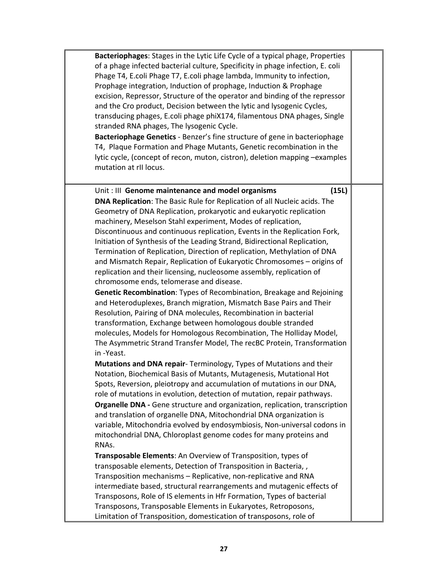| Bacteriophages: Stages in the Lytic Life Cycle of a typical phage, Properties<br>of a phage infected bacterial culture, Specificity in phage infection, E. coli<br>Phage T4, E.coli Phage T7, E.coli phage lambda, Immunity to infection,<br>Prophage integration, Induction of prophage, Induction & Prophage<br>excision, Repressor, Structure of the operator and binding of the repressor<br>and the Cro product, Decision between the lytic and lysogenic Cycles,<br>transducing phages, E.coli phage phiX174, filamentous DNA phages, Single<br>stranded RNA phages, The lysogenic Cycle.<br>Bacteriophage Genetics - Benzer's fine structure of gene in bacteriophage<br>T4, Plaque Formation and Phage Mutants, Genetic recombination in the<br>lytic cycle, (concept of recon, muton, cistron), deletion mapping -examples<br>mutation at rII locus.                                                                         |  |
|---------------------------------------------------------------------------------------------------------------------------------------------------------------------------------------------------------------------------------------------------------------------------------------------------------------------------------------------------------------------------------------------------------------------------------------------------------------------------------------------------------------------------------------------------------------------------------------------------------------------------------------------------------------------------------------------------------------------------------------------------------------------------------------------------------------------------------------------------------------------------------------------------------------------------------------|--|
| (15L)<br>Unit: III Genome maintenance and model organisms<br>DNA Replication: The Basic Rule for Replication of all Nucleic acids. The<br>Geometry of DNA Replication, prokaryotic and eukaryotic replication<br>machinery, Meselson Stahl experiment, Modes of replication,<br>Discontinuous and continuous replication, Events in the Replication Fork,<br>Initiation of Synthesis of the Leading Strand, Bidirectional Replication,<br>Termination of Replication, Direction of replication, Methylation of DNA<br>and Mismatch Repair, Replication of Eukaryotic Chromosomes - origins of<br>replication and their licensing, nucleosome assembly, replication of<br>chromosome ends, telomerase and disease.<br>Genetic Recombination: Types of Recombination, Breakage and Rejoining<br>and Heteroduplexes, Branch migration, Mismatch Base Pairs and Their<br>Resolution, Pairing of DNA molecules, Recombination in bacterial |  |
| transformation, Exchange between homologous double stranded<br>molecules, Models for Homologous Recombination, The Holliday Model,<br>The Asymmetric Strand Transfer Model, The recBC Protein, Transformation<br>in-Yeast.<br>Mutations and DNA repair- Terminology, Types of Mutations and their<br>Notation, Biochemical Basis of Mutants, Mutagenesis, Mutational Hot<br>Spots, Reversion, pleiotropy and accumulation of mutations in our DNA,<br>role of mutations in evolution, detection of mutation, repair pathways.<br>Organelle DNA - Gene structure and organization, replication, transcription<br>and translation of organelle DNA, Mitochondrial DNA organization is<br>variable, Mitochondria evolved by endosymbiosis, Non-universal codons in<br>mitochondrial DNA, Chloroplast genome codes for many proteins and<br>RNAs.<br>Transposable Elements: An Overview of Transposition, types of                        |  |
| transposable elements, Detection of Transposition in Bacteria, ,<br>Transposition mechanisms - Replicative, non-replicative and RNA<br>intermediate based, structural rearrangements and mutagenic effects of<br>Transposons, Role of IS elements in Hfr Formation, Types of bacterial<br>Transposons, Transposable Elements in Eukaryotes, Retroposons,<br>Limitation of Transposition, domestication of transposons, role of                                                                                                                                                                                                                                                                                                                                                                                                                                                                                                        |  |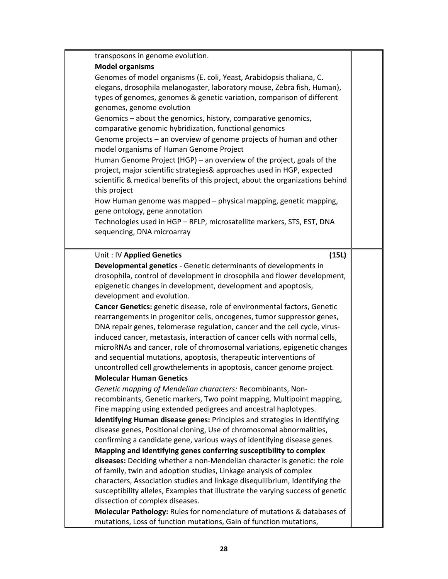| transposons in genome evolution.                                                                                                                       |  |
|--------------------------------------------------------------------------------------------------------------------------------------------------------|--|
| <b>Model organisms</b>                                                                                                                                 |  |
| Genomes of model organisms (E. coli, Yeast, Arabidopsis thaliana, C.                                                                                   |  |
| elegans, drosophila melanogaster, laboratory mouse, Zebra fish, Human),                                                                                |  |
| types of genomes, genomes & genetic variation, comparison of different                                                                                 |  |
| genomes, genome evolution                                                                                                                              |  |
| Genomics - about the genomics, history, comparative genomics,<br>comparative genomic hybridization, functional genomics                                |  |
| Genome projects - an overview of genome projects of human and other                                                                                    |  |
| model organisms of Human Genome Project                                                                                                                |  |
| Human Genome Project (HGP) – an overview of the project, goals of the                                                                                  |  |
| project, major scientific strategies& approaches used in HGP, expected                                                                                 |  |
| scientific & medical benefits of this project, about the organizations behind                                                                          |  |
| this project                                                                                                                                           |  |
| How Human genome was mapped – physical mapping, genetic mapping,                                                                                       |  |
| gene ontology, gene annotation                                                                                                                         |  |
| Technologies used in HGP - RFLP, microsatellite markers, STS, EST, DNA                                                                                 |  |
| sequencing, DNA microarray                                                                                                                             |  |
|                                                                                                                                                        |  |
| Unit: IV Applied Genetics<br>(15L)                                                                                                                     |  |
| Developmental genetics - Genetic determinants of developments in                                                                                       |  |
| drosophila, control of development in drosophila and flower development,                                                                               |  |
| epigenetic changes in development, development and apoptosis,                                                                                          |  |
| development and evolution.                                                                                                                             |  |
| Cancer Genetics: genetic disease, role of environmental factors, Genetic                                                                               |  |
| rearrangements in progenitor cells, oncogenes, tumor suppressor genes,                                                                                 |  |
| DNA repair genes, telomerase regulation, cancer and the cell cycle, virus-                                                                             |  |
| induced cancer, metastasis, interaction of cancer cells with normal cells,<br>microRNAs and cancer, role of chromosomal variations, epigenetic changes |  |
| and sequential mutations, apoptosis, therapeutic interventions of                                                                                      |  |
| uncontrolled cell growthelements in apoptosis, cancer genome project.                                                                                  |  |
| <b>Molecular Human Genetics</b>                                                                                                                        |  |
| Genetic mapping of Mendelian characters: Recombinants, Non-                                                                                            |  |
| recombinants, Genetic markers, Two point mapping, Multipoint mapping,                                                                                  |  |
| Fine mapping using extended pedigrees and ancestral haplotypes.                                                                                        |  |
| Identifying Human disease genes: Principles and strategies in identifying                                                                              |  |
| disease genes, Positional cloning, Use of chromosomal abnormalities,                                                                                   |  |
| confirming a candidate gene, various ways of identifying disease genes.                                                                                |  |
| Mapping and identifying genes conferring susceptibility to complex                                                                                     |  |
| diseases: Deciding whether a non-Mendelian character is genetic: the role                                                                              |  |
| of family, twin and adoption studies, Linkage analysis of complex                                                                                      |  |
| characters, Association studies and linkage disequilibrium, Identifying the                                                                            |  |
| susceptibility alleles, Examples that illustrate the varying success of genetic                                                                        |  |
| dissection of complex diseases.                                                                                                                        |  |
| Molecular Pathology: Rules for nomenclature of mutations & databases of                                                                                |  |
| mutations, Loss of function mutations, Gain of function mutations,                                                                                     |  |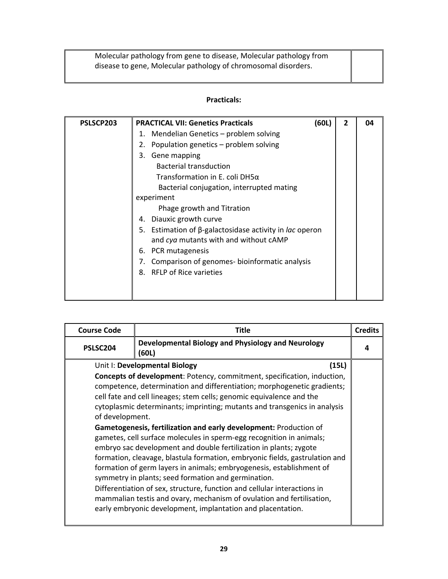Molecular pathology from gene to disease, Molecular pathology from disease to gene, Molecular pathology of chromosomal disorders.

| PSLSCP203 | <b>PRACTICAL VII: Genetics Practicals</b>                                | (60L) | $\mathbf{2}$ | 04 |
|-----------|--------------------------------------------------------------------------|-------|--------------|----|
|           | Mendelian Genetics – problem solving<br>1.                               |       |              |    |
|           | Population genetics – problem solving<br>2.                              |       |              |    |
|           | Gene mapping<br>3.                                                       |       |              |    |
|           | <b>Bacterial transduction</b>                                            |       |              |    |
|           | Transformation in E. coli DH5 $\alpha$                                   |       |              |    |
|           | Bacterial conjugation, interrupted mating                                |       |              |    |
|           | experiment                                                               |       |              |    |
|           | Phage growth and Titration                                               |       |              |    |
|           | Diauxic growth curve<br>4.                                               |       |              |    |
|           | Estimation of $\beta$ -galactosidase activity in <i>lac</i> operon<br>5. |       |              |    |
|           | and cya mutants with and without cAMP                                    |       |              |    |
|           | PCR mutagenesis<br>6.                                                    |       |              |    |
|           | Comparison of genomes-bioinformatic analysis<br>7.                       |       |              |    |
|           | <b>RFLP of Rice varieties</b><br>8.                                      |       |              |    |
|           |                                                                          |       |              |    |
|           |                                                                          |       |              |    |

| <b>Course Code</b>                                                      | Title                                                                                                                                                                                                                                                                                                                                                                                                                                                                                                                                                                                                                                                                                                                                                                                                                                                                                                                                                                                                        | <b>Credits</b> |  |  |  |  |  |  |  |
|-------------------------------------------------------------------------|--------------------------------------------------------------------------------------------------------------------------------------------------------------------------------------------------------------------------------------------------------------------------------------------------------------------------------------------------------------------------------------------------------------------------------------------------------------------------------------------------------------------------------------------------------------------------------------------------------------------------------------------------------------------------------------------------------------------------------------------------------------------------------------------------------------------------------------------------------------------------------------------------------------------------------------------------------------------------------------------------------------|----------------|--|--|--|--|--|--|--|
| Developmental Biology and Physiology and Neurology<br>PSLSC204<br>(60L) |                                                                                                                                                                                                                                                                                                                                                                                                                                                                                                                                                                                                                                                                                                                                                                                                                                                                                                                                                                                                              |                |  |  |  |  |  |  |  |
| of development.                                                         | (15L)<br>Unit I: Developmental Biology<br><b>Concepts of development: Potency, commitment, specification, induction,</b><br>competence, determination and differentiation; morphogenetic gradients;<br>cell fate and cell lineages; stem cells; genomic equivalence and the<br>cytoplasmic determinants; imprinting; mutants and transgenics in analysis<br>Gametogenesis, fertilization and early development: Production of<br>gametes, cell surface molecules in sperm-egg recognition in animals;<br>embryo sac development and double fertilization in plants; zygote<br>formation, cleavage, blastula formation, embryonic fields, gastrulation and<br>formation of germ layers in animals; embryogenesis, establishment of<br>symmetry in plants; seed formation and germination.<br>Differentiation of sex, structure, function and cellular interactions in<br>mammalian testis and ovary, mechanism of ovulation and fertilisation,<br>early embryonic development, implantation and placentation. |                |  |  |  |  |  |  |  |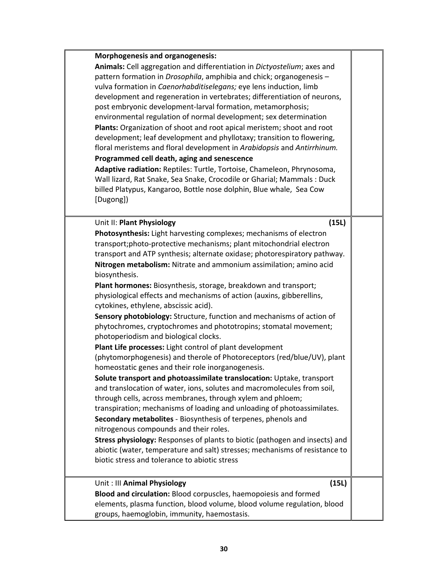| <b>Morphogenesis and organogenesis:</b><br>Programmed cell death, aging and senescence                                                                                                                                                                                                                                                                                                                 | Animals: Cell aggregation and differentiation in Dictyostelium; axes and<br>pattern formation in Drosophila, amphibia and chick; organogenesis -<br>vulva formation in Caenorhabditiselegans; eye lens induction, limb<br>development and regeneration in vertebrates; differentiation of neurons,<br>post embryonic development-larval formation, metamorphosis;<br>environmental regulation of normal development; sex determination<br>Plants: Organization of shoot and root apical meristem; shoot and root<br>development; leaf development and phyllotaxy; transition to flowering,<br>floral meristems and floral development in Arabidopsis and Antirrhinum.<br>Adaptive radiation: Reptiles: Turtle, Tortoise, Chameleon, Phrynosoma,<br>Wall lizard, Rat Snake, Sea Snake, Crocodile or Gharial; Mammals : Duck                                                                                                                                                                                                                                                                                                               |  |
|--------------------------------------------------------------------------------------------------------------------------------------------------------------------------------------------------------------------------------------------------------------------------------------------------------------------------------------------------------------------------------------------------------|------------------------------------------------------------------------------------------------------------------------------------------------------------------------------------------------------------------------------------------------------------------------------------------------------------------------------------------------------------------------------------------------------------------------------------------------------------------------------------------------------------------------------------------------------------------------------------------------------------------------------------------------------------------------------------------------------------------------------------------------------------------------------------------------------------------------------------------------------------------------------------------------------------------------------------------------------------------------------------------------------------------------------------------------------------------------------------------------------------------------------------------|--|
| [Dugong])                                                                                                                                                                                                                                                                                                                                                                                              | billed Platypus, Kangaroo, Bottle nose dolphin, Blue whale, Sea Cow                                                                                                                                                                                                                                                                                                                                                                                                                                                                                                                                                                                                                                                                                                                                                                                                                                                                                                                                                                                                                                                                      |  |
| Unit II: Plant Physiology<br>biosynthesis.<br>cytokines, ethylene, abscissic acid).<br>photoperiodism and biological clocks.<br>Plant Life processes: Light control of plant development<br>homeostatic genes and their role inorganogenesis.<br>through cells, across membranes, through xylem and phloem;<br>nitrogenous compounds and their roles.<br>biotic stress and tolerance to abiotic stress | (15L)<br>Photosynthesis: Light harvesting complexes; mechanisms of electron<br>transport; photo-protective mechanisms; plant mitochondrial electron<br>transport and ATP synthesis; alternate oxidase; photorespiratory pathway.<br>Nitrogen metabolism: Nitrate and ammonium assimilation; amino acid<br>Plant hormones: Biosynthesis, storage, breakdown and transport;<br>physiological effects and mechanisms of action (auxins, gibberellins,<br>Sensory photobiology: Structure, function and mechanisms of action of<br>phytochromes, cryptochromes and phototropins; stomatal movement;<br>(phytomorphogenesis) and therole of Photoreceptors (red/blue/UV), plant<br>Solute transport and photoassimilate translocation: Uptake, transport<br>and translocation of water, ions, solutes and macromolecules from soil,<br>transpiration; mechanisms of loading and unloading of photoassimilates.<br>Secondary metabolites - Biosynthesis of terpenes, phenols and<br>Stress physiology: Responses of plants to biotic (pathogen and insects) and<br>abiotic (water, temperature and salt) stresses; mechanisms of resistance to |  |
| Unit: III Animal Physiology<br>groups, haemoglobin, immunity, haemostasis.                                                                                                                                                                                                                                                                                                                             | (15L)<br>Blood and circulation: Blood corpuscles, haemopoiesis and formed<br>elements, plasma function, blood volume, blood volume regulation, blood                                                                                                                                                                                                                                                                                                                                                                                                                                                                                                                                                                                                                                                                                                                                                                                                                                                                                                                                                                                     |  |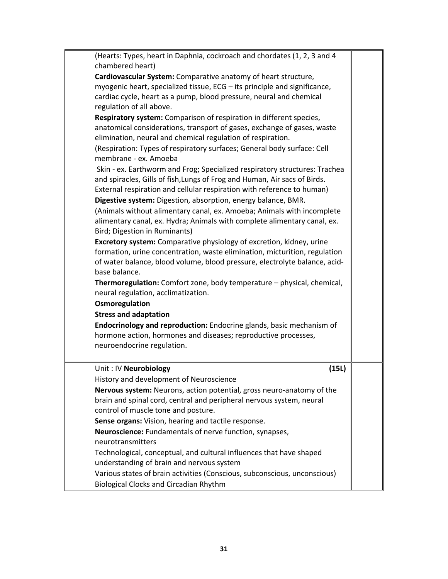| (Hearts: Types, heart in Daphnia, cockroach and chordates (1, 2, 3 and 4    |       |  |
|-----------------------------------------------------------------------------|-------|--|
| chambered heart)                                                            |       |  |
| Cardiovascular System: Comparative anatomy of heart structure,              |       |  |
| myogenic heart, specialized tissue, ECG - its principle and significance,   |       |  |
| cardiac cycle, heart as a pump, blood pressure, neural and chemical         |       |  |
| regulation of all above.                                                    |       |  |
| Respiratory system: Comparison of respiration in different species,         |       |  |
| anatomical considerations, transport of gases, exchange of gases, waste     |       |  |
| elimination, neural and chemical regulation of respiration.                 |       |  |
| (Respiration: Types of respiratory surfaces; General body surface: Cell     |       |  |
| membrane - ex. Amoeba                                                       |       |  |
| Skin - ex. Earthworm and Frog; Specialized respiratory structures: Trachea  |       |  |
| and spiracles, Gills of fish, Lungs of Frog and Human, Air sacs of Birds.   |       |  |
| External respiration and cellular respiration with reference to human)      |       |  |
| Digestive system: Digestion, absorption, energy balance, BMR.               |       |  |
| (Animals without alimentary canal, ex. Amoeba; Animals with incomplete      |       |  |
| alimentary canal, ex. Hydra; Animals with complete alimentary canal, ex.    |       |  |
| Bird; Digestion in Ruminants)                                               |       |  |
| <b>Excretory system:</b> Comparative physiology of excretion, kidney, urine |       |  |
| formation, urine concentration, waste elimination, micturition, regulation  |       |  |
| of water balance, blood volume, blood pressure, electrolyte balance, acid-  |       |  |
| base balance.                                                               |       |  |
| Thermoregulation: Comfort zone, body temperature - physical, chemical,      |       |  |
| neural regulation, acclimatization.                                         |       |  |
| Osmoregulation                                                              |       |  |
| <b>Stress and adaptation</b>                                                |       |  |
| Endocrinology and reproduction: Endocrine glands, basic mechanism of        |       |  |
| hormone action, hormones and diseases; reproductive processes,              |       |  |
| neuroendocrine regulation.                                                  |       |  |
|                                                                             |       |  |
| Unit: IV Neurobiology                                                       | (15L) |  |
| History and development of Neuroscience                                     |       |  |
| Nervous system: Neurons, action potential, gross neuro-anatomy of the       |       |  |
| brain and spinal cord, central and peripheral nervous system, neural        |       |  |
| control of muscle tone and posture.                                         |       |  |
| Sense organs: Vision, hearing and tactile response.                         |       |  |
| Neuroscience: Fundamentals of nerve function, synapses,                     |       |  |
| neurotransmitters                                                           |       |  |
| Technological, conceptual, and cultural influences that have shaped         |       |  |
| understanding of brain and nervous system                                   |       |  |
| Various states of brain activities (Conscious, subconscious, unconscious)   |       |  |
| <b>Biological Clocks and Circadian Rhythm</b>                               |       |  |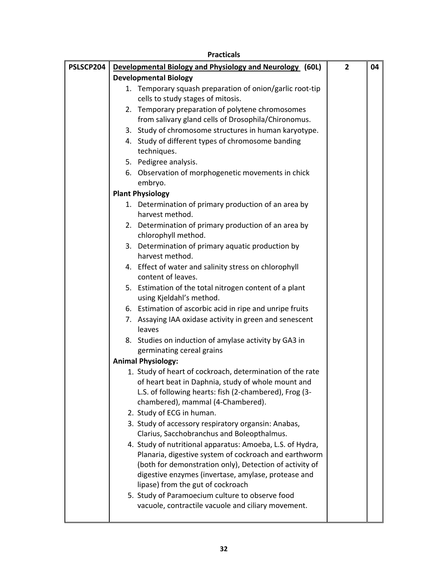|           | <b>Practicals</b>                                                                                                                                                                                                                                                                                                            |              |    |
|-----------|------------------------------------------------------------------------------------------------------------------------------------------------------------------------------------------------------------------------------------------------------------------------------------------------------------------------------|--------------|----|
| PSLSCP204 | Developmental Biology and Physiology and Neurology (60L)                                                                                                                                                                                                                                                                     | $\mathbf{2}$ | 04 |
|           | <b>Developmental Biology</b>                                                                                                                                                                                                                                                                                                 |              |    |
|           | 1. Temporary squash preparation of onion/garlic root-tip<br>cells to study stages of mitosis.                                                                                                                                                                                                                                |              |    |
|           | 2. Temporary preparation of polytene chromosomes<br>from salivary gland cells of Drosophila/Chironomus.                                                                                                                                                                                                                      |              |    |
|           | 3. Study of chromosome structures in human karyotype.                                                                                                                                                                                                                                                                        |              |    |
|           | 4. Study of different types of chromosome banding<br>techniques.                                                                                                                                                                                                                                                             |              |    |
|           | 5. Pedigree analysis.                                                                                                                                                                                                                                                                                                        |              |    |
|           | 6. Observation of morphogenetic movements in chick<br>embryo.                                                                                                                                                                                                                                                                |              |    |
|           | <b>Plant Physiology</b>                                                                                                                                                                                                                                                                                                      |              |    |
|           | 1. Determination of primary production of an area by<br>harvest method.                                                                                                                                                                                                                                                      |              |    |
|           | 2. Determination of primary production of an area by<br>chlorophyll method.                                                                                                                                                                                                                                                  |              |    |
|           | 3. Determination of primary aquatic production by<br>harvest method.                                                                                                                                                                                                                                                         |              |    |
|           | 4. Effect of water and salinity stress on chlorophyll<br>content of leaves.                                                                                                                                                                                                                                                  |              |    |
|           | 5. Estimation of the total nitrogen content of a plant<br>using Kjeldahl's method.                                                                                                                                                                                                                                           |              |    |
|           | 6. Estimation of ascorbic acid in ripe and unripe fruits                                                                                                                                                                                                                                                                     |              |    |
|           | 7. Assaying IAA oxidase activity in green and senescent<br>leaves                                                                                                                                                                                                                                                            |              |    |
|           | 8. Studies on induction of amylase activity by GA3 in<br>germinating cereal grains                                                                                                                                                                                                                                           |              |    |
|           | <b>Animal Physiology:</b>                                                                                                                                                                                                                                                                                                    |              |    |
|           | 1. Study of heart of cockroach, determination of the rate<br>of heart beat in Daphnia, study of whole mount and<br>L.S. of following hearts: fish (2-chambered), Frog (3-<br>chambered), mammal (4-Chambered).<br>2. Study of ECG in human.                                                                                  |              |    |
|           | 3. Study of accessory respiratory organsin: Anabas,<br>Clarius, Sacchobranchus and Boleopthalmus.                                                                                                                                                                                                                            |              |    |
|           | 4. Study of nutritional apparatus: Amoeba, L.S. of Hydra,<br>Planaria, digestive system of cockroach and earthworm<br>(both for demonstration only), Detection of activity of<br>digestive enzymes (invertase, amylase, protease and<br>lipase) from the gut of cockroach<br>5. Study of Paramoecium culture to observe food |              |    |
|           | vacuole, contractile vacuole and ciliary movement.                                                                                                                                                                                                                                                                           |              |    |

H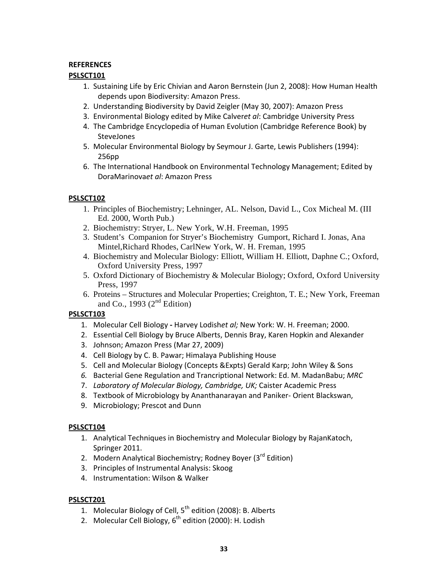## **REFERENCES**

# **PSLSCT101**

- 1. Sustaining Life by Eric Chivian and Aaron Bernstein (Jun 2, 2008): How Human Health depends upon Biodiversity: Amazon Press.
- 2. Understanding Biodiversity by David Zeigler (May 30, 2007): Amazon Press
- 3. Environmental Biology edited by Mike Calver*et al*: Cambridge University Press
- 4. The Cambridge Encyclopedia of Human Evolution (Cambridge Reference Book) by SteveJones
- 5. Molecular Environmental Biology by Seymour J. Garte, Lewis Publishers (1994): 256pp
- 6. The International Handbook on Environmental Technology Management; Edited by DoraMarinova*et al*: Amazon Press

# **PSLSCT102**

- 1. Principles of Biochemistry; Lehninger, AL. Nelson, David L., Cox Micheal M. (III Ed. 2000, Worth Pub.)
- 2. Biochemistry: Stryer, L. New York, W.H. Freeman, 1995
- 3. Student's Companion for Stryer's Biochemistry Gumport, Richard I. Jonas, Ana Mintel,Richard Rhodes, CarlNew York, W. H. Freman, 1995
- 4. Biochemistry and Molecular Biology: Elliott, William H. Elliott, Daphne C.; Oxford, Oxford University Press, 1997
- 5. Oxford Dictionary of Biochemistry & Molecular Biology; Oxford, Oxford University Press, 1997
- 6. Proteins Structures and Molecular Properties; Creighton, T. E.; New York, Freeman and Co., 1993  $(2<sup>nd</sup> Edition)$

# **PSLSCT103**

- 1. Molecular Cell Biology **‐** Harvey Lodish*et al;* New York: W. H. Freeman; 2000.
- 2. Essential Cell Biology by Bruce Alberts, Dennis Bray, Karen Hopkin and Alexander
- 3. Johnson; Amazon Press (Mar 27, 2009)
- 4. Cell Biology by C. B. Pawar; Himalaya Publishing House
- 5. Cell and Molecular Biology (Concepts &Expts) Gerald Karp; John Wiley & Sons
- *6.* Bacterial Gene Regulation and Trancriptional Network: Ed. M. MadanBabu; *MRC*
- 7. *Laboratory of Molecular Biology, Cambridge, UK;* Caister Academic Press
- 8. Textbook of Microbiology by Ananthanarayan and Paniker‐ Orient Blackswan,
- 9. Microbiology; Prescot and Dunn

## **PSLSCT104**

- 1. Analytical Techniques in Biochemistry and Molecular Biology by RajanKatoch, Springer 2011.
- 2. Modern Analytical Biochemistry; Rodney Boyer (3rd Edition)
- 3. Principles of Instrumental Analysis: Skoog
- 4. Instrumentation: Wilson & Walker

## **PSLSCT201**

- 1. Molecular Biology of Cell,  $5^{th}$  edition (2008): B. Alberts
- 2. Molecular Cell Biology,  $6<sup>th</sup>$  edition (2000): H. Lodish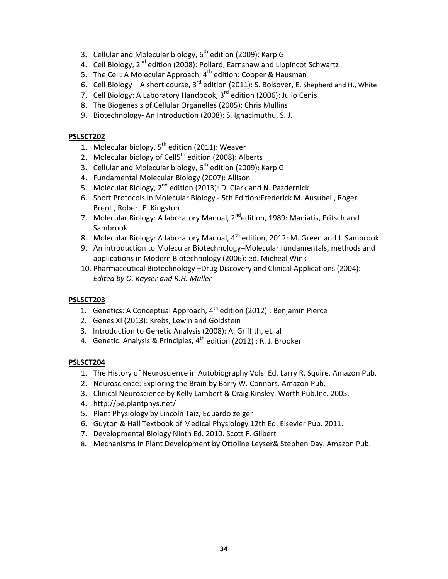- 3. Cellular and Molecular biology,  $6<sup>th</sup>$  edition (2009): Karp G
- 4. Cell Biology, 2<sup>nd</sup> edition (2008): Pollard, Earnshaw and Lippincot Schwartz
- 5. The Cell: A Molecular Approach, 4<sup>th</sup> edition: Cooper & Hausman
- 6. Cell Biology A short course,  $3^{rd}$  edition (2011): S. Bolsover, E. Shepherd and H., White
- 7. Cell Biology: A Laboratory Handbook, 3<sup>rd</sup> edition (2006): Julio Cenis
- 8. The Biogenesis of Cellular Organelles (2005): Chris Mullins
- 9. Biotechnology- An Introduction (2008): S. Ignacimuthu, S. J.

### **PSLSCT202**

- 1. Molecular biology,  $5<sup>th</sup>$  edition (2011): Weaver
- 2. Molecular biology of Cell $5^{th}$  edition (2008): Alberts
- 3. Cellular and Molecular biology,  $6<sup>th</sup>$  edition (2009): Karp G
- 4. Fundamental Molecular Biology (2007): Allison
- 5. Molecular Biology, 2<sup>nd</sup> edition (2013): D. Clark and N. Pazdernick
- 6. Short Protocols in Molecular Biology ‐ 5th Edition:Frederick M. Ausubel , Roger Brent , Robert E. Kingston
- 7. Molecular Biology: A laboratory Manual, 2<sup>nd</sup>edition, 1989: Maniatis, Fritsch and Sambrook
- 8. Molecular Biology: A laboratory Manual, 4<sup>th</sup> edition, 2012: M. Green and J. Sambrook
- 9. An introduction to Molecular Biotechnology–Molecular fundamentals, methods and applications in Modern Biotechnology (2006): ed. Micheal Wink
- 10. Pharmaceutical Biotechnology –Drug Discovery and Clinical Applications (2004): *Edited by O. Kayser and R.H. Muller*

## **PSLSCT203**

- 1. Genetics: A Conceptual Approach,  $4^{th}$  edition (2012) : Benjamin Pierce
- 2. Genes XI (2013): Krebs, Lewin and Goldstein
- 3. Introduction to Genetic Analysis (2008): A. Griffith, et. al
- 4. Genetic: Analysis & Principles,  $4^{th}$  edition (2012) : R. J. Brooker

#### **PSLSCT204**

- 1. The History of Neuroscience in Autobiography Vols. Ed. Larry R. Squire. Amazon Pub.
- 2. Neuroscience: Exploring the Brain by Barry W. Connors. Amazon Pub.
- 3. Clinical Neuroscience by Kelly Lambert & Craig Kinsley. Worth Pub.Inc. 2005.
- 4. http://5e.plantphys.net/
- 5. Plant Physiology by Lincoln Taiz, Eduardo zeiger
- 6. Guyton & Hall Textbook of Medical Physiology 12th Ed. Elsevier Pub. 2011.
- 7. Developmental Biology Ninth Ed. 2010. Scott F. Gilbert
- 8. Mechanisms in Plant Development by Ottoline Leyser& Stephen Day. Amazon Pub.